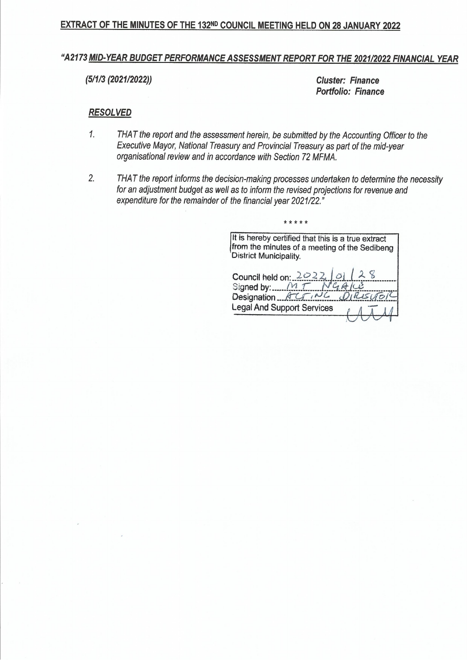# **EXTRACT OF THE MINUTES OF THE 132ND COUNCIL MEETING HELD ON 28 JANUARY 2022**

# "A2173 MID-YEAR BUDGET PERFORMANCE ASSESSMENT REPORT FOR THE 2021/2022 FINANCIAL YEAR

 $(5/1/3 (2021/2022))$ 

**Cluster: Finance** Portfolio: Finance

#### **RESOLVED**

- $1<sup>1</sup>$ THAT the report and the assessment herein, be submitted by the Accounting Officer to the Executive Mayor, National Treasury and Provincial Treasury as part of the mid-year organisational review and in accordance with Section 72 MFMA.
- $\overline{2}$ . THAT the report informs the decision-making processes undertaken to determine the necessity for an adjustment budget as well as to inform the revised projections for revenue and expenditure for the remainder of the financial year 2021/22."

| It is hereby certified that this is a true extract<br>from the minutes of a meeting of the Sedibeng |
|-----------------------------------------------------------------------------------------------------|
| District Municipality.                                                                              |
| Council held on: $2022$   01   28<br>Signed by: $M T N G A / L$                                     |
| Designation ALTING DIRISUO                                                                          |
| <b>Legal And Support Services</b>                                                                   |
|                                                                                                     |

\*\*\*\*\*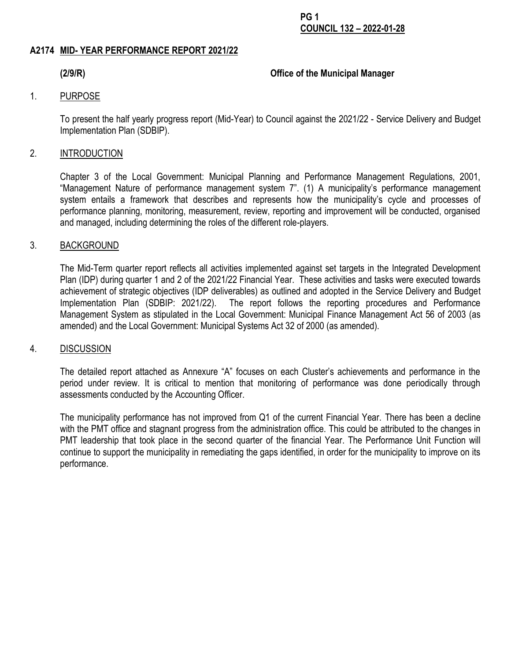**PG 1 COUNCIL 132 – 2022-01-28**

### **A2174 MID- YEAR PERFORMANCE REPORT 2021/22**

#### **(2/9/R) Office of the Municipal Manager**

### 1. PURPOSE

To present the half yearly progress report (Mid-Year) to Council against the 2021/22 - Service Delivery and Budget Implementation Plan (SDBIP).

#### 2. INTRODUCTION

Chapter 3 of the Local Government: Municipal Planning and Performance Management Regulations, 2001, "Management Nature of performance management system 7". (1) A municipality's performance management system entails a framework that describes and represents how the municipality's cycle and processes of performance planning, monitoring, measurement, review, reporting and improvement will be conducted, organised and managed, including determining the roles of the different role-players.

#### 3. BACKGROUND

The Mid-Term quarter report reflects all activities implemented against set targets in the Integrated Development Plan (IDP) during quarter 1 and 2 of the 2021/22 Financial Year. These activities and tasks were executed towards achievement of strategic objectives (IDP deliverables) as outlined and adopted in the Service Delivery and Budget Implementation Plan (SDBIP: 2021/22). The report follows the reporting procedures and Performance Management System as stipulated in the Local Government: Municipal Finance Management Act 56 of 2003 (as amended) and the Local Government: Municipal Systems Act 32 of 2000 (as amended).

#### 4. DISCUSSION

The detailed report attached as Annexure "A" focuses on each Cluster's achievements and performance in the period under review. It is critical to mention that monitoring of performance was done periodically through assessments conducted by the Accounting Officer.

The municipality performance has not improved from Q1 of the current Financial Year. There has been a decline with the PMT office and stagnant progress from the administration office. This could be attributed to the changes in PMT leadership that took place in the second quarter of the financial Year. The Performance Unit Function will continue to support the municipality in remediating the gaps identified, in order for the municipality to improve on its performance.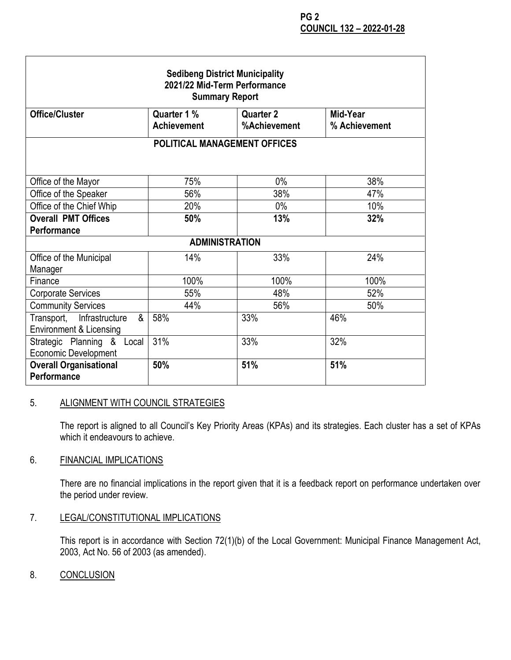|                                                                         |                                   | <b>Sedibeng District Municipality</b><br>2021/22 Mid-Term Performance<br><b>Summary Report</b> |                           |
|-------------------------------------------------------------------------|-----------------------------------|------------------------------------------------------------------------------------------------|---------------------------|
| <b>Office/Cluster</b>                                                   | Quarter 1 %<br><b>Achievement</b> | <b>Quarter 2</b><br>%Achievement                                                               | Mid-Year<br>% Achievement |
|                                                                         |                                   | <b>POLITICAL MANAGEMENT OFFICES</b>                                                            |                           |
|                                                                         |                                   |                                                                                                |                           |
| Office of the Mayor                                                     | 75%                               | 0%                                                                                             | 38%                       |
| Office of the Speaker                                                   | 56%                               | 38%                                                                                            | 47%                       |
| Office of the Chief Whip                                                | 20%                               | $0\%$                                                                                          | 10%                       |
| <b>Overall PMT Offices</b>                                              | 50%                               | 13%                                                                                            | 32%                       |
| <b>Performance</b>                                                      |                                   |                                                                                                |                           |
|                                                                         |                                   | <b>ADMINISTRATION</b>                                                                          |                           |
| Office of the Municipal                                                 | 14%                               | 33%                                                                                            | 24%                       |
| Manager                                                                 |                                   |                                                                                                |                           |
| Finance                                                                 | 100%                              | 100%                                                                                           | 100%                      |
| <b>Corporate Services</b>                                               | 55%                               | 48%                                                                                            | 52%                       |
| <b>Community Services</b>                                               | 44%                               | 56%                                                                                            | 50%                       |
| Infrastructure<br>&<br>Transport,<br><b>Environment &amp; Licensing</b> | 58%                               | 33%                                                                                            | 46%                       |
| Strategic Planning &<br>Local<br><b>Economic Development</b>            | 31%                               | 33%                                                                                            | 32%                       |
| <b>Overall Organisational</b><br>Performance                            | 50%                               | 51%                                                                                            | 51%                       |

### 5. ALIGNMENT WITH COUNCIL STRATEGIES

The report is aligned to all Council's Key Priority Areas (KPAs) and its strategies. Each cluster has a set of KPAs which it endeavours to achieve.

# 6. FINANCIAL IMPLICATIONS

There are no financial implications in the report given that it is a feedback report on performance undertaken over the period under review.

### 7. LEGAL/CONSTITUTIONAL IMPLICATIONS

This report is in accordance with Section 72(1)(b) of the Local Government: Municipal Finance Management Act, 2003, Act No. 56 of 2003 (as amended).

### 8. CONCLUSION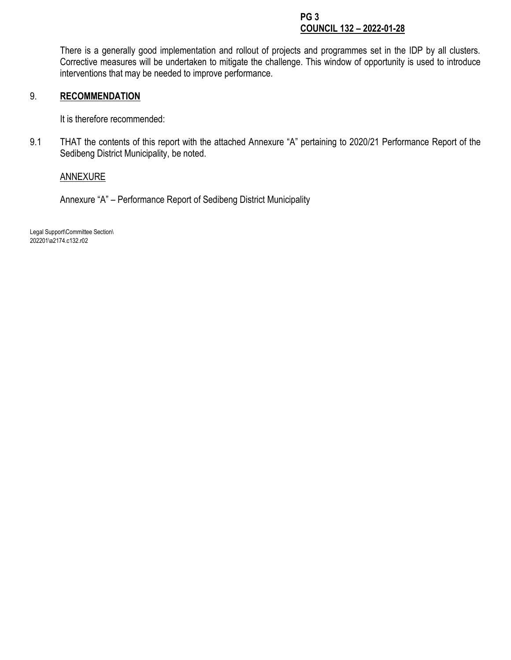### **PG 3 COUNCIL 132 – 2022-01-28**

There is a generally good implementation and rollout of projects and programmes set in the IDP by all clusters. Corrective measures will be undertaken to mitigate the challenge. This window of opportunity is used to introduce interventions that may be needed to improve performance.

# 9. **RECOMMENDATION**

It is therefore recommended:

9.1 THAT the contents of this report with the attached Annexure "A" pertaining to 2020/21 Performance Report of the Sedibeng District Municipality, be noted.

### **ANNEXURE**

Annexure "A" – Performance Report of Sedibeng District Municipality

Legal Support\Committee Section\ 202201\a2174.c132.r02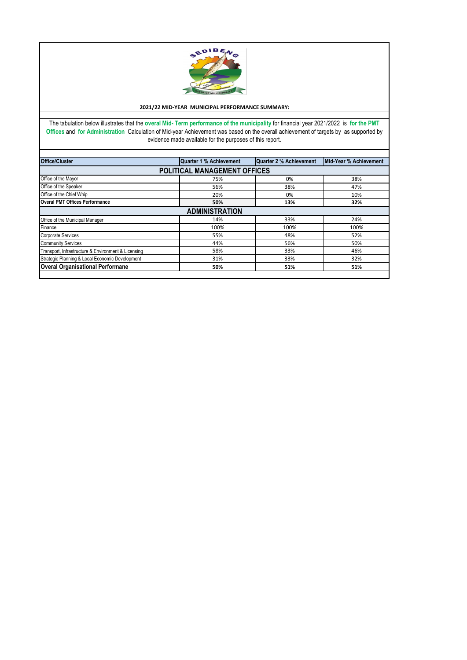| <b>Office/Cluster</b>                               | Quarter 1 % Achievement      | Quarter 2 % Achievement | Mid-Year % Achievement |  |  |  |  |  |  |  |  |  |  |  |
|-----------------------------------------------------|------------------------------|-------------------------|------------------------|--|--|--|--|--|--|--|--|--|--|--|
|                                                     | POLITICAL MANAGEMENT OFFICES |                         |                        |  |  |  |  |  |  |  |  |  |  |  |
| Office of the Mayor                                 | 75%                          | 0%                      | 38%                    |  |  |  |  |  |  |  |  |  |  |  |
| Office of the Speaker                               | 56%                          | 38%                     | 47%                    |  |  |  |  |  |  |  |  |  |  |  |
| Office of the Chief Whip                            | 20%                          | 0%                      | 10%                    |  |  |  |  |  |  |  |  |  |  |  |
| <b>Overal PMT Offices Performance</b>               | 50%                          | 13%                     | 32%                    |  |  |  |  |  |  |  |  |  |  |  |
| <b>ADMINISTRATION</b>                               |                              |                         |                        |  |  |  |  |  |  |  |  |  |  |  |
| Office of the Municipal Manager                     | 14%                          | 33%                     | 24%                    |  |  |  |  |  |  |  |  |  |  |  |
| Finance                                             | 100%                         | 100%                    | 100%                   |  |  |  |  |  |  |  |  |  |  |  |
| Corporate Services                                  | 55%                          | 48%                     | 52%                    |  |  |  |  |  |  |  |  |  |  |  |
| Community Services                                  | 44%                          | 56%                     | 50%                    |  |  |  |  |  |  |  |  |  |  |  |
| Transport, Infrastructure & Environment & Licensing | 58%                          | 33%                     | 46%                    |  |  |  |  |  |  |  |  |  |  |  |
| Strategic Planning & Local Economic Development     | 31%                          | 33%                     | 32%                    |  |  |  |  |  |  |  |  |  |  |  |
| <b>Overal Organisational Performane</b>             | 50%                          | 51%                     | 51%                    |  |  |  |  |  |  |  |  |  |  |  |

The tabulation below illustrates that the **overal Mid- Term performance of the municipality** for financial year 2021/2022 is **for the PMT Offices** and **for Administration** Calculation of Mid-year Achievement was based on the overall achievement of targets by as supported by evidence made available for the purposes of this report.



# **2021/22 MID-YEAR MUNICIPAL PERFORMANCE SUMMARY:**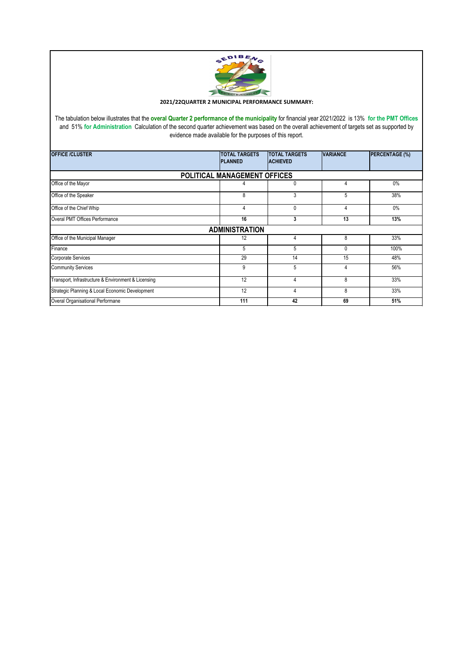| <b>OFFICE /CLUSTER</b>                              | <b>TOTAL TARGETS</b><br><b>PLANNED</b> | <b>TOTAL TARGETS</b><br><b>ACHIEVED</b> | <b>VARIANCE</b> | <b>PERCENTAGE (%)</b> |  |  |  |  |  |  |  |  |  |  |  |
|-----------------------------------------------------|----------------------------------------|-----------------------------------------|-----------------|-----------------------|--|--|--|--|--|--|--|--|--|--|--|
|                                                     |                                        |                                         |                 |                       |  |  |  |  |  |  |  |  |  |  |  |
|                                                     | POLITICAL MANAGEMENT OFFICES           |                                         |                 |                       |  |  |  |  |  |  |  |  |  |  |  |
| Office of the Mayor                                 | 4                                      | $\mathbf{0}$                            | 4               | $0\%$                 |  |  |  |  |  |  |  |  |  |  |  |
| Office of the Speaker                               | 8                                      | 3                                       | 5               | 38%                   |  |  |  |  |  |  |  |  |  |  |  |
| Office of the Chief Whip                            | 4                                      | 0                                       | 4               | $0\%$                 |  |  |  |  |  |  |  |  |  |  |  |
| Overal PMT Offices Performance                      | 16                                     | 3                                       | 13              | 13%                   |  |  |  |  |  |  |  |  |  |  |  |
| <b>ADMINISTRATION</b>                               |                                        |                                         |                 |                       |  |  |  |  |  |  |  |  |  |  |  |
| Office of the Municipal Manager                     | 12                                     | 4                                       | 8               | 33%                   |  |  |  |  |  |  |  |  |  |  |  |
| Finance                                             | 5                                      | 5                                       | 0               | 100%                  |  |  |  |  |  |  |  |  |  |  |  |
| Corporate Services                                  | 29                                     | 14                                      | 15              | 48%                   |  |  |  |  |  |  |  |  |  |  |  |
| <b>Community Services</b>                           | 9                                      | 5                                       | 4               | 56%                   |  |  |  |  |  |  |  |  |  |  |  |
| Transport, Infrastructure & Environment & Licensing | 12                                     | 4                                       | 8               | 33%                   |  |  |  |  |  |  |  |  |  |  |  |
| Strategic Planning & Local Economic Development     | 12                                     | 4                                       | 8               | 33%                   |  |  |  |  |  |  |  |  |  |  |  |
| Overal Organisational Performane                    | 111                                    | 42                                      | 69              | 51%                   |  |  |  |  |  |  |  |  |  |  |  |

The tabulation below illustrates that the **overal Quarter 2 performance of the municipality** for financial year 2021/2022 is 13% **for the PMT Offices**  and 51% **for Administration** Calculation of the second quarter achievement was based on the overall achievement of targets set as supported by evidence made available for the purposes of this report.



**2021/22QUARTER 2 MUNICIPAL PERFORMANCE SUMMARY:**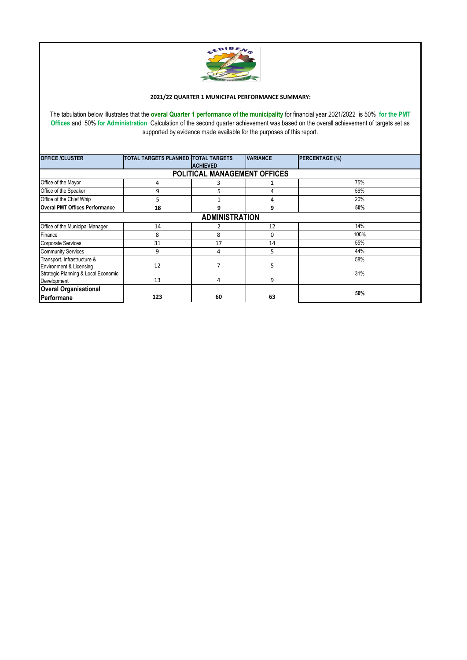| <b>OFFICE /CLUSTER</b>                                            | TOTAL TARGETS PLANNED   TOTAL TARGETS | <b>ACHIEVED</b>              | <b>VARIANCE</b> | <b>PERCENTAGE (%)</b> |  |  |  |  |  |  |  |  |  |  |
|-------------------------------------------------------------------|---------------------------------------|------------------------------|-----------------|-----------------------|--|--|--|--|--|--|--|--|--|--|
|                                                                   |                                       | POLITICAL MANAGEMENT OFFICES |                 |                       |  |  |  |  |  |  |  |  |  |  |
| Office of the Mayor                                               | 4                                     | 3                            |                 | 75%                   |  |  |  |  |  |  |  |  |  |  |
| Office of the Speaker                                             | 9                                     | 5                            | 4               | 56%                   |  |  |  |  |  |  |  |  |  |  |
| Office of the Chief Whip                                          | 5                                     |                              | 4               | 20%                   |  |  |  |  |  |  |  |  |  |  |
| <b>Overal PMT Offices Performance</b>                             | 18                                    | 9                            | 9               | 50%                   |  |  |  |  |  |  |  |  |  |  |
| <b>ADMINISTRATION</b>                                             |                                       |                              |                 |                       |  |  |  |  |  |  |  |  |  |  |
| 14%<br>Office of the Municipal Manager<br>12<br>14<br>2           |                                       |                              |                 |                       |  |  |  |  |  |  |  |  |  |  |
| Finance                                                           | 8                                     | 8                            | 0               | 100%                  |  |  |  |  |  |  |  |  |  |  |
| <b>Corporate Services</b>                                         | 31                                    | 17                           | 14              | 55%                   |  |  |  |  |  |  |  |  |  |  |
| <b>Community Services</b>                                         | 9                                     | 4                            | 5               | 44%                   |  |  |  |  |  |  |  |  |  |  |
| Transport, Infrastructure &<br><b>Environment &amp; Licensing</b> | 12                                    |                              | 5               | 58%                   |  |  |  |  |  |  |  |  |  |  |
| Strategic Planning & Local Economic                               |                                       |                              |                 | 31%                   |  |  |  |  |  |  |  |  |  |  |
| Development                                                       | 13                                    | 4                            | 9               |                       |  |  |  |  |  |  |  |  |  |  |
| <b>Overal Organisational</b>                                      |                                       |                              |                 | 50%                   |  |  |  |  |  |  |  |  |  |  |
| Performane                                                        | 123                                   | 60                           | 63              |                       |  |  |  |  |  |  |  |  |  |  |



# **2021/22 QUARTER 1 MUNICIPAL PERFORMANCE SUMMARY:**

The tabulation below illustrates that the **overal Quarter 1 performance of the municipality** for financial year 2021/2022 is 50% **for the PMT Offices** and 50% **for Administration** Calculation of the second quarter achievement was based on the overall achievement of targets set as supported by evidence made available for the purposes of this report.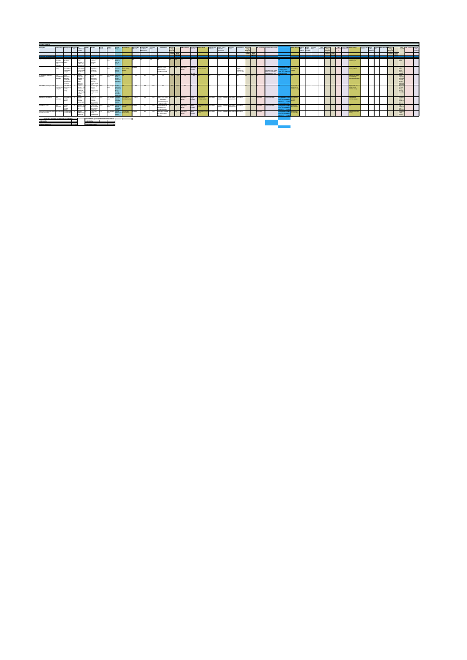| SEDIBENG DISTRICT MUNICIPALITY                  |                                                                                                                                       |                                              |                                                |        |                            |                                |                                                                  |          |                           |            |                          |                     |                   |                       |                                                   |                                     |                   |                                                        |                     |                   |              |                                             |                                            |                                      |  |                  |                                                         |                                              |                                          |                           |                |                                    |                                    |
|-------------------------------------------------|---------------------------------------------------------------------------------------------------------------------------------------|----------------------------------------------|------------------------------------------------|--------|----------------------------|--------------------------------|------------------------------------------------------------------|----------|---------------------------|------------|--------------------------|---------------------|-------------------|-----------------------|---------------------------------------------------|-------------------------------------|-------------------|--------------------------------------------------------|---------------------|-------------------|--------------|---------------------------------------------|--------------------------------------------|--------------------------------------|--|------------------|---------------------------------------------------------|----------------------------------------------|------------------------------------------|---------------------------|----------------|------------------------------------|------------------------------------|
| <b>OFFICE OF THE Mayor</b>                      |                                                                                                                                       |                                              |                                                |        |                            |                                |                                                                  |          |                           |            |                          |                     |                   |                       |                                                   |                                     |                   |                                                        |                     |                   |              |                                             |                                            |                                      |  |                  |                                                         |                                              |                                          |                           |                |                                    |                                    |
| PERFORMANCE REPORTING                           |                                                                                                                                       |                                              |                                                |        |                            |                                |                                                                  |          |                           |            |                          |                     |                   |                       |                                                   |                                     |                   |                                                        |                     |                   |              |                                             |                                            |                                      |  |                  |                                                         |                                              |                                          |                           |                |                                    |                                    |
| <b>Priority Area</b>                            | IDP Strategy   IDP Objective   Objective Kev                                                                                          | No. Performance                              |                                                | Amount | Source                     | <b>Target</b>                  |                                                                  | Achieved | under/Over<br>Achievement | Corrective | <b>POE Obtained</b>      | ming                |                   | <b>Comments</b>       | <b>PMS Comments</b> Internal Audit Quarter Two(2) | ieved /Not<br>Achieved              | under/Over        | orrective<br><b>IAction</b>                            | <b>POE Obtained</b> | Mainstrea<br>ming |              | <b>PMS Comments Internal Audit Comments</b> |                                            |                                      |  | <b>Obtained</b>  | PMS   Internal Audit   Quarter Four<br>Comment Comments |                                              | <b>Achieved /Not   Reaso</b><br>Achieved | Corrective   POE Obtained | ming           |                                    | POEs PMS Comments Interna<br>Audit |
|                                                 |                                                                                                                                       |                                              |                                                |        |                            |                                |                                                                  |          |                           |            |                          |                     |                   |                       |                                                   |                                     | <b>\chievemen</b> |                                                        |                     |                   |              |                                             |                                            |                                      |  |                  |                                                         |                                              |                                          |                           |                |                                    |                                    |
|                                                 |                                                                                                                                       |                                              |                                                |        |                            |                                |                                                                  |          |                           |            |                          | d<br>(Yes/No) Group |                   |                       |                                                   |                                     |                   |                                                        |                     | (Yes/No) Group    |              |                                             |                                            |                                      |  | $(Yes/No)$ Group |                                                         |                                              |                                          |                           | (Yes/No) Group |                                    |                                    |
| <b>PA6: GOOD GOVERNANCE AND L</b>               |                                                                                                                                       |                                              |                                                |        |                            |                                |                                                                  |          |                           |            |                          |                     |                   |                       |                                                   |                                     |                   |                                                        |                     |                   |              |                                             |                                            |                                      |  |                  |                                                         |                                              |                                          |                           |                |                                    |                                    |
|                                                 |                                                                                                                                       |                                              |                                                |        |                            |                                |                                                                  |          |                           |            |                          |                     |                   |                       |                                                   |                                     |                   |                                                        |                     |                   |              |                                             |                                            |                                      |  |                  |                                                         |                                              |                                          |                           |                |                                    |                                    |
| State of the District Address                   | To hold the State  <br>Improve                                                                                                        | Number of                                    | 20/21 State of OPEX                            |        |                            | Own Municipality Convene one   |                                                                  |          |                           |            |                          | N/A<br>IN/A         |                   | $IN/\Delta$           |                                                   |                                     |                   |                                                        |                     | INIA              |              |                                             |                                            |                                      |  |                  |                                                         | onvene one SODA and                          |                                          |                           |                | Report on                          |                                    |
|                                                 | of the District<br>stakeholder                                                                                                        | <b>Deople</b>                                | the District                                   |        | l funds                    | SODA anc                       |                                                                  |          |                           |            |                          |                     |                   |                       |                                                   |                                     |                   |                                                        |                     |                   |              |                                             |                                            |                                      |  |                  |                                                         | host 100 people                              |                                          |                           |                | <b>SODA</b>                        |                                    |
|                                                 | Frelations through laddress                                                                                                           | participated in                              | <b>Addresses</b>                               |        |                            | lhost 10                       |                                                                  |          |                           |            |                          |                     |                   |                       |                                                   |                                     |                   |                                                        |                     |                   |              |                                             |                                            |                                      |  |                  |                                                         |                                              |                                          |                           |                |                                    |                                    |
|                                                 | articination                                                                                                                          | the State of the<br><b>IDistrict Address</b> | <b>ISpeech</b>                                 |        |                            |                                |                                                                  |          |                           |            |                          |                     |                   |                       |                                                   |                                     |                   |                                                        |                     |                   |              |                                             |                                            |                                      |  |                  |                                                         |                                              |                                          |                           |                |                                    |                                    |
| Ntrhisano                                       | Improve service To address                                                                                                            | Number of                                    | (4) Outreach                                   | LOPEX  |                            |                                | Own Municipality Solve 100% Solve 100% of                        | Achieved |                           |            | Report on 100%           |                     | Information       | Target Not            | Solve 100% of service Achieved                    |                                     |                   |                                                        | Attandance          |                   |              | Information Vefied Target Not Achieved      | raet Not Achieved Solve 100% of            |                                      |  |                  |                                                         | Solve 100% of service                        |                                          |                           |                | <b>Report on</b>                   |                                    |
|                                                 | service deliver                                                                                                                       | service delivery                             | Programmes in                                  |        |                            | lot service                    | service delivery                                                 |          |                           |            |                          |                     |                   |                       | delivery problems                                 |                                     |                   |                                                        | Register,           |                   |              |                                             |                                            | <b>I</b> service delivery            |  |                  |                                                         | delivery problems                            |                                          |                           |                |                                    |                                    |
|                                                 | problems with                                                                                                                         | problems sorted                              | the previous                                   |        |                            | delivery                       | าhlems                                                           |          |                           |            | service delivery         |                     | Verified          | Achieved              |                                                   |                                     |                   |                                                        | Programm and        |                   |              | The PoE provided for audit                  |                                            | nroblems                             |  |                  |                                                         |                                              |                                          |                           |                |                                    |                                    |
|                                                 | the region                                                                                                                            | out within the                               | <b>IFinancial Year</b>                         |        |                            | problems                       |                                                                  |          |                           |            | problems resolved        |                     |                   |                       |                                                   |                                     |                   |                                                        | Cases reported      |                   |              | includes information that                   | olve 100% of servic                        |                                      |  |                  |                                                         |                                              |                                          |                           |                | <b>Idelive</b>                     |                                    |
|                                                 |                                                                                                                                       |                                              |                                                |        |                            |                                |                                                                  |          |                           |            |                          |                     |                   | <b>The PoE</b>        |                                                   |                                     |                   |                                                        |                     |                   |              | indicates that some of the                  |                                            |                                      |  |                  |                                                         |                                              |                                          |                           |                | nroblems                           |                                    |
| <b>IDP and Budget Stakeholders</b>              | To host<br>l Public.                                                                                                                  | Number of                                    | Two (2) IDP/                                   | ∣ OPEX |                            | Own Municipality Reach 200 N/A |                                                                  | N/A      | N/A                       | N/A        | N/A                      | N/A                 | $N/\Delta$<br>N/A | N/A                   |                                                   |                                     |                   |                                                        |                     |                   |              |                                             |                                            |                                      |  |                  |                                                         | Report on 200 people                         |                                          |                           |                | Report                             |                                    |
| Participation                                   | consultation and Stakeholders<br>participation<br>participation                                                                       | people who<br>participated in                | Budget<br>Stakeholders                         |        |                            |                                |                                                                  |          |                           |            |                          |                     |                   |                       |                                                   |                                     |                   |                                                        |                     |                   |              |                                             |                                            |                                      |  |                  |                                                         | reached through<br>stakeholder participation |                                          |                           |                | 200 people.                        |                                    |
|                                                 | regarding th                                                                                                                          | the IDP &                                    | Engagements                                    |        |                            | stakehold                      |                                                                  |          |                           |            |                          |                     |                   |                       |                                                   |                                     |                   |                                                        |                     |                   |              |                                             |                                            |                                      |  |                  |                                                         |                                              |                                          |                           |                |                                    |                                    |
|                                                 | municipality                                                                                                                          | <b>Budget</b>                                | held in the                                    |        |                            |                                |                                                                  |          |                           |            |                          |                     |                   |                       |                                                   |                                     |                   |                                                        |                     |                   |              |                                             |                                            |                                      |  |                  |                                                         |                                              |                                          |                           |                |                                    |                                    |
|                                                 | and Budget                                                                                                                            | Stakeholders                                 | 2020/21 financial                              |        |                            |                                |                                                                  |          |                           |            |                          |                     |                   |                       |                                                   |                                     |                   |                                                        |                     |                   |              |                                             |                                            |                                      |  |                  |                                                         |                                              |                                          |                           |                |                                    |                                    |
| <b>IDP and Budget Steering Committee Public</b> | To host IDP and                                                                                                                       | <u> articination</u><br>Number of            | (2) IDP/Budget OPEX                            |        | Own Municipality Host 50   |                                |                                                                  | N/A      | N/A                       | N/A        | N/A                      |                     | $N/\Delta$<br>N/A |                       |                                                   |                                     |                   |                                                        |                     |                   |              |                                             |                                            | <b>Report on IDB and</b>             |  |                  |                                                         | Report on IDB and                            |                                          |                           |                | <u>narticinatio</u><br>Report on   |                                    |
|                                                 |                                                                                                                                       | participants who                             | <b>ISteering</b>                               |        |                            |                                |                                                                  |          |                           |            |                          | N/A                 |                   |                       |                                                   |                                     |                   |                                                        |                     |                   |              |                                             |                                            | Budget Steering                      |  |                  |                                                         | <b>Budget Steering</b>                       |                                          |                           |                | <b>IDP</b> and                     |                                    |
|                                                 | Committee<br>narticination                                                                                                            | participated in                              | Committee                                      |        |                            | the IDP and                    |                                                                  |          |                           |            |                          |                     |                   |                       |                                                   |                                     |                   |                                                        |                     |                   |              |                                             |                                            | Committee meeting                    |  |                  |                                                         | Committee meeting                            |                                          |                           |                |                                    |                                    |
|                                                 | <b>I</b> meeting                                                                                                                      | the IDP and                                  | meetings held in                               |        |                            | Budget                         |                                                                  |          |                           |            |                          |                     |                   |                       |                                                   |                                     |                   |                                                        |                     |                   |              |                                             |                                            |                                      |  |                  |                                                         |                                              |                                          |                           |                |                                    |                                    |
|                                                 |                                                                                                                                       | <b>Budget Steerin</b>                        | 2020/21 financia                               |        |                            |                                |                                                                  |          |                           |            |                          |                     |                   |                       |                                                   |                                     |                   |                                                        |                     |                   |              |                                             |                                            |                                      |  |                  |                                                         |                                              |                                          |                           |                |                                    |                                    |
|                                                 |                                                                                                                                       | ommittee                                     |                                                |        |                            |                                |                                                                  |          |                           |            |                          |                     |                   |                       |                                                   |                                     |                   |                                                        |                     |                   |              |                                             |                                            |                                      |  |                  |                                                         |                                              |                                          |                           |                |                                    |                                    |
|                                                 |                                                                                                                                       | meeting                                      |                                                |        |                            | meeting and                    |                                                                  |          |                           |            |                          |                     |                   |                       |                                                   |                                     |                   |                                                        |                     |                   |              |                                             |                                            |                                      |  |                  |                                                         |                                              |                                          |                           |                |                                    |                                    |
| Mayoral Committee Meetings                      | To host Mayoral<br>l Good                                                                                                             | Number of<br><b>IA51</b>                     | Twelve (12)                                    | OPEX   |                            |                                | Own Municipality Host eight Host 3 Mayoral<br>Committee meetings | Achieved | N/A                       | N/A        | Notice of the meting N/A | IN/A                | Information       | $\blacksquare$ Target | Host 3 Mayoral                                    | Not achieved                        |                   | councillors Resess and will be done in Not achieved    |                     |                   | Not Achieved | Target Not Achieved                         | <b>arget Not Achieved</b>   Host 3 Mayoral |                                      |  |                  |                                                         | Host 3 Mayoral                               |                                          |                           |                | <b>Produce 12</b><br>sets of       |                                    |
|                                                 | governance<br>Committee<br>Imeetings                                                                                                  | Mayoral<br>Committee                         | Mayoral<br>Committee                           |        | funds                      | Mayoral<br>;ommittee           |                                                                  |          |                           |            | Agenda and               |                     | Verified          | Achieved              | Committee meetings                                |                                     | Elections         | I the next Quarter                                     |                     |                   |              |                                             |                                            | <i><b>Committee</b></i><br>Imeetinas |  |                  |                                                         | Committee meetings                           |                                          |                           |                | I minutes o                        |                                    |
|                                                 |                                                                                                                                       | Meetings h                                   | Meetings held in                               |        |                            | meetings                       |                                                                  |          |                           |            | attandance register      |                     |                   |                       |                                                   |                                     |                   |                                                        |                     |                   |              |                                             | rification                                 |                                      |  |                  |                                                         |                                              |                                          |                           |                |                                    |                                    |
|                                                 |                                                                                                                                       |                                              |                                                |        |                            |                                |                                                                  |          |                           |            | Minutes of the           |                     |                   |                       |                                                   |                                     |                   |                                                        |                     |                   |              |                                             | d assist cluste                            |                                      |  |                  |                                                         |                                              |                                          |                           |                |                                    |                                    |
| Joint Mayors Forums                             | <b>Host Joint</b><br>Good                                                                                                             | A6 Number of Joint A6.1.                     | Four (4) Joint   OPEX                          |        |                            |                                | Own Municipality Host two Joint Host onr joint Myarol Achieved   |          | N/A                       | N/A        | Invitation, adgenda,     | IN/A<br>IN/A        | Information       | $\vert$ Target        |                                                   | Host one Joint Mayor's Not achieved |                   | councillors Resess and will be done in Not achieved    |                     |                   | Not Achieved | Target Not Achieved                         | arget Not Achieved   Host one Joint        |                                      |  |                  |                                                         |                                              |                                          |                           |                | <b>ITwo</b>                        |                                    |
|                                                 | governance<br>Mayoral                                                                                                                 | Mayors Forums                                | <b>Mayors Forums</b>                           |        | funds                      | Mayoral                        | committee                                                        |          |                           |            | attandance and           |                     | Verified          | Achieved              |                                                   |                                     | Elections         | the next Quarter                                       |                     |                   |              |                                             | ) No PoE provided fo                       | <b>IMayor's Forun</b>                |  |                  |                                                         |                                              |                                          |                           |                | reports of                         |                                    |
|                                                 | Committee                                                                                                                             | held in                                      | held in 2020/21                                |        |                            | ;ommittee                      |                                                                  |          |                           |            | minutes of Meeting       |                     |                   |                       |                                                   |                                     |                   |                                                        |                     |                   |              |                                             | erification                                |                                      |  |                  |                                                         |                                              |                                          |                           |                |                                    |                                    |
|                                                 | Reduce the socio-economic impact of Improved health Host District Aids                                                                | Number of                                    | financial year<br>Four (4) AIDS OPEX           |        | Own Municipality Host four |                                | Host one AIDS                                                    | chieved  | N/A                       | N/A        | Attandance Register N/A  | IN/A                | Information       | Target                |                                                   | Host one AIDS Council Not achieved  |                   | ouncillors Resess and will be done in the Not achieved |                     |                   | Not Achieved |                                             | <b>Target Not Achieved</b>                 | Host one AIDS                        |  |                  |                                                         | <b>Host one AIDS Counc</b>                   |                                          |                           |                | <u>   Mayors For</u><br>Producefou |                                    |
| HIV/AIDS , TB & STIs                            | Council meetings                                                                                                                      | <b>AIDS Council</b>                          | Council                                        |        | funds                      | <b>AIDS Counc</b>              | Council meeting                                                  |          |                           |            | nd AIDS Council          |                     | Verified          | Achieved              |                                                   |                                     |                   |                                                        |                     |                   |              |                                             | ) No PoE provided                          | <b>ICouncil meeting</b>              |  |                  |                                                         |                                              |                                          |                           |                | r AIDS                             |                                    |
|                                                 |                                                                                                                                       | meeting held                                 | programme and                                  |        |                            | meetings                       |                                                                  |          |                           |            |                          |                     |                   |                       |                                                   |                                     |                   |                                                        |                     |                   |              |                                             |                                            |                                      |  |                  |                                                         |                                              |                                          |                           |                | <b>Council</b>                     |                                    |
|                                                 |                                                                                                                                       |                                              |                                                |        |                            |                                |                                                                  |          |                           |            |                          |                     |                   |                       |                                                   |                                     |                   |                                                        |                     |                   |              |                                             |                                            |                                      |  |                  |                                                         |                                              |                                          |                           |                |                                    |                                    |
|                                                 |                                                                                                                                       |                                              | ASSESSMENT OF Q2 2021/22 PERFORMANCE SUMMARY   |        |                            |                                |                                                                  |          |                           |            |                          |                     |                   |                       |                                                   |                                     |                   |                                                        |                     |                   |              |                                             |                                            |                                      |  |                  |                                                         |                                              |                                          |                           |                |                                    |                                    |
|                                                 |                                                                                                                                       |                                              | <b>Targets Planne</b>                          |        |                            |                                |                                                                  |          |                           |            |                          |                     |                   |                       |                                                   |                                     |                   |                                                        |                     |                   |              |                                             |                                            |                                      |  |                  |                                                         |                                              |                                          |                           |                |                                    |                                    |
|                                                 |                                                                                                                                       |                                              | <b>Targets Achieved</b>                        |        |                            |                                |                                                                  |          |                           |            |                          |                     |                   |                       |                                                   |                                     |                   |                                                        |                     |                   |              |                                             |                                            |                                      |  |                  |                                                         |                                              |                                          |                           |                |                                    |                                    |
|                                                 | ASSESSMENT OF Q1 2021/22 PERFORMANCE SUMMARY<br>Targets Planned<br>Targets Achieved<br>Targets Not Achieved<br>Percentage Achievement |                                              | Targets Not Achieved<br>Percentage Achievement |        |                            |                                |                                                                  |          |                           |            |                          |                     |                   |                       |                                                   |                                     |                   |                                                        |                     |                   |              |                                             |                                            |                                      |  |                  |                                                         |                                              |                                          |                           |                |                                    |                                    |
|                                                 |                                                                                                                                       |                                              |                                                |        |                            |                                |                                                                  |          |                           |            |                          |                     |                   |                       |                                                   |                                     |                   |                                                        |                     |                   |              |                                             |                                            |                                      |  |                  |                                                         |                                              |                                          |                           |                |                                    |                                    |
|                                                 |                                                                                                                                       |                                              |                                                |        |                            |                                |                                                                  |          |                           |            |                          |                     |                   |                       |                                                   |                                     |                   |                                                        |                     |                   |              |                                             |                                            |                                      |  |                  |                                                         |                                              |                                          |                           |                |                                    |                                    |
|                                                 |                                                                                                                                       |                                              |                                                |        |                            |                                |                                                                  |          |                           |            |                          |                     |                   |                       |                                                   |                                     |                   |                                                        |                     |                   |              |                                             |                                            |                                      |  |                  |                                                         |                                              |                                          |                           |                |                                    |                                    |
|                                                 |                                                                                                                                       |                                              |                                                |        |                            |                                |                                                                  |          |                           |            |                          |                     |                   |                       |                                                   |                                     |                   |                                                        |                     |                   |              |                                             |                                            |                                      |  |                  |                                                         |                                              |                                          |                           |                |                                    |                                    |

| ASSESSMENT OF Q1 2021/22 PERFORMANCE SUMMARY |     | ASSESSMENT OF Q2 2021/22 PERFORMANCE SUMMARY |  |  |
|----------------------------------------------|-----|----------------------------------------------|--|--|
| rargets Planner                              |     |                                              |  |  |
| <b>Targets Achieved</b>                      |     | argets Achieved                              |  |  |
| <b>Fargets Not Achieved</b>                  |     | ts Not Achiever                              |  |  |
| <b>Percentage Achievement</b>                | 75% | <b>Percentage Achievement</b>                |  |  |

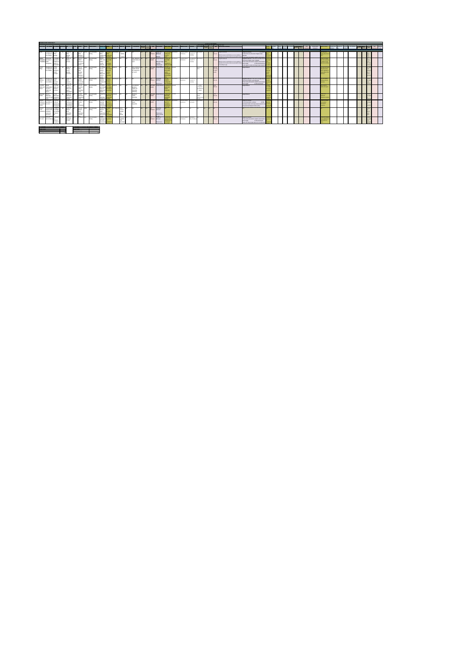| <b>SEDIBENG DISTRICT MUNICIPALITY</b>                                            | <b>OFFICE OF THE SPEAKER</b><br>PERFORMANCE REPORTING FOR 2020/21 FINANCIAL YEAR |                                   |                                                      |                  |                                    |                                   |                                                              |      |                                                |                                |                 |                             |                                                   |                            |                                                                                   |                                                      |                                  |                |                                                                                                                                                                                                                                |                                                             |                                                                                                                                     |                               |                                                    |                |                                     |                                         |                                                   |                       |                                 |
|----------------------------------------------------------------------------------|----------------------------------------------------------------------------------|-----------------------------------|------------------------------------------------------|------------------|------------------------------------|-----------------------------------|--------------------------------------------------------------|------|------------------------------------------------|--------------------------------|-----------------|-----------------------------|---------------------------------------------------|----------------------------|-----------------------------------------------------------------------------------|------------------------------------------------------|----------------------------------|----------------|--------------------------------------------------------------------------------------------------------------------------------------------------------------------------------------------------------------------------------|-------------------------------------------------------------|-------------------------------------------------------------------------------------------------------------------------------------|-------------------------------|----------------------------------------------------|----------------|-------------------------------------|-----------------------------------------|---------------------------------------------------|-----------------------|---------------------------------|
|                                                                                  |                                                                                  |                                   |                                                      |                  |                                    |                                   |                                                              |      |                                                |                                |                 |                             |                                                   |                            |                                                                                   |                                                      |                                  |                |                                                                                                                                                                                                                                |                                                             |                                                                                                                                     |                               |                                                    |                |                                     |                                         |                                                   |                       |                                 |
| Priority Area   IDP Strategy   IDP Objective Objective No. Key                   |                                                                                  |                                   | KPI No Baseline Budget Funding Source                |                  |                                    | <b>Inual Target Quarter</b>       | Achieved /Not Reason for Corrective   POE Obtained Mainstrea |      |                                                | $ $ (Yes/No) Group             |                 |                             |                                                   |                            | <b>PMS</b> Internal Audit Quarter Two(2) Achieved /Not Reason for Non. Corrective |                                                      | POE Obtained Mainstrea           | (Yes/No) Group |                                                                                                                                                                                                                                | <b>EXECUTE: PMS</b> Internal Audit Comments                 |                                                                                                                                     | Quarter Achieved              | <b>Reason</b> Correctiv POE Obtained Mainstreaming | (Yes/No) Group | <b>PMS</b><br><b>Internal Audit</b> | <b>Quarter Four(4)</b>                  | Achieved /Not Reason for Correctiv   POE Obtained | (Yes/No) Group        | POEs Comments Audi <sup>+</sup> |
|                                                                                  |                                                                                  |                                   |                                                      |                  |                                    |                                   |                                                              |      |                                                |                                |                 |                             |                                                   |                            |                                                                                   |                                                      |                                  |                |                                                                                                                                                                                                                                |                                                             |                                                                                                                                     | $\sqrt{\text{Three(3)}}$ /Not |                                                    |                | Comments<br><b>Comments</b>         |                                         |                                                   |                       |                                 |
|                                                                                  |                                                                                  |                                   |                                                      |                  |                                    |                                   |                                                              |      | <b>KPAG GOOD GOV</b>                           | NANCE AND PHRI IC PARTICIPATI( |                 |                             |                                                   |                            |                                                                                   |                                                      |                                  |                |                                                                                                                                                                                                                                |                                                             |                                                                                                                                     |                               |                                                    |                |                                     |                                         |                                                   |                       |                                 |
| <b>IMPAC</b><br>a enathening                                                     |                                                                                  | Number of                         | <b>OPEX</b><br>[Four (4)                             | Own Municipality | Host four                          | lost one                          | Not achieved                                                 |      |                                                |                                |                 |                             |                                                   | lost one MPAC Not Achieved | councillors Resess   Re-establishment   Not achieved                              |                                                      |                                  |                | – I Not                                                                                                                                                                                                                        | Target Not Achieved                                         | Target Not Achieved,<br>1) The reasons                                                                                              |                               |                                                    |                |                                     | )st one MPAC-                           |                                                   |                       |                                 |
| oversight and<br><b>IMPAC</b>                                                    |                                                                                  | <b>MPAC</b>                       |                                                      |                  | <b>MPAC</b>                        |                                   | avallabl                                                     |      |                                                |                                | Achieved        | Achieved                    | eetina anc                                        |                            | and Elections                                                                     | of section 79                                        |                                  |                | <b>Lachieved</b>                                                                                                                                                                                                               |                                                             | provided for the non achievement of targets is found                                                                                |                               |                                                    |                |                                     | meeting and produ-                      |                                                   |                       |                                 |
| Accountability meetings                                                          |                                                                                  | meetings                          | l Meetinas ii                                        |                  | Imeetinas an                       |                                   |                                                              |      |                                                |                                |                 |                             |                                                   |                            |                                                                                   | ommittees                                            |                                  |                |                                                                                                                                                                                                                                | Whilst the reasons noted that there was non-availability of | <b>l</b> inadeguate                                                                                                                 |                               |                                                    |                |                                     |                                         |                                                   | <b>IRepor</b>         |                                 |
|                                                                                  |                                                                                  |                                   |                                                      |                  |                                    |                                   |                                                              |      |                                                |                                |                 |                             | Information Target Achieved Produce one           |                            | councillors Resess   Re-establishment   Not Achieved                              |                                                      |                                  |                | Not Not not a set of the set of the set of the set of the set of the set of the set of the set of the set of the set of the set of the set of the set of the set of the set of the set of the set of the set of the set of the | Icouncillors. No Corrective Action was provided for in term | 2)Proper action plan should be created to assist clusters to                                                                        |                               |                                                    |                |                                     | <b>Produce one Report</b>               |                                                   |                       |                                 |
| Oversee the<br> Petition<br>To maintain a<br>Thigh level c<br><b>I Managemei</b> |                                                                                  | Number of<br>Petitions            | $\left  \text{Seven (7)} \right $ OPEX<br> Petitions | Own Municipality | Resolve<br>100% of all             | <b>Produce one Achieved</b>       |                                                              |      | Invite, Attendance IN/A<br>register, Notice an |                                | Verified        |                             |                                                   | Not Achieved               | and Elections                                                                     | of section 79                                        |                                  |                | <b>Lachieved</b>                                                                                                                                                                                                               | Target Not Achieved                                         | $\frac{1}{2}$ T arget Not Achieved 1) The reasons provided for the non $\frac{1}{2}$<br>achievement of targets is found inadequate. |                               |                                                    |                |                                     | with 100% resolutions                   |                                                   | <b>I</b> Petitions    |                                 |
| satisfaction<br><b>Committee I</b> bettion <b>a</b>                              |                                                                                  | resolved                          | resolved in                                          |                  | petitions                          |                                   |                                                              |      |                                                |                                |                 | Although Targe              |                                                   |                            |                                                                                   | committees                                           |                                  |                |                                                                                                                                                                                                                                | Whilst the reasons noted that there was non-availability of | 2) Proper action plan should be created to assist clusters to                                                                       |                               |                                                    |                |                                     | on petitions brought                    |                                                   | reports               |                                 |
| management                                                                       |                                                                                  |                                   | the previous                                         |                  | brought                            | resolution                        |                                                              |      |                                                |                                |                 | has been                    |                                                   |                            |                                                                                   |                                                      |                                  |                |                                                                                                                                                                                                                                | councillors, No Corrective Action was provided for in terms | 3) PMS should assist and<br><sup>ns</sup> achieve targets                                                                           |                               |                                                    |                |                                     | before the Committe                     |                                                   |                       |                                 |
| municipalli                                                                      |                                                                                  |                                   | <b>I</b> financial                                   |                  | before the                         |                                   |                                                              |      |                                                |                                |                 | achieved, the               | Annons Dro                                        |                            |                                                                                   |                                                      |                                  |                |                                                                                                                                                                                                                                | of remediating the gap.                                     | provide support to clusters with noting of proper reasons                                                                           | netition                      |                                                    |                |                                     |                                         |                                                   |                       |                                 |
| ⊺o host ⊹                                                                        |                                                                                  | INumber of                        | $\sim$<br>LOPEX.                                     |                  | مم <del>اا</del> سممم              |                                   | Achieved                                                     |      | Notice, attendance                             |                                |                 |                             | Information Target Achieved Convene one Achieved  |                            |                                                                                   |                                                      | Agenda and                       |                | Achieved                                                                                                                                                                                                                       |                                                             | Target Achieved                                                                                                                     | or ene or                     |                                                    |                |                                     | convene one Cound                       |                                                   |                       |                                 |
| Strengthening<br>Council<br>Sittings<br>oversight and                            |                                                                                  |                                   | Four $(4)$<br>ISedibena                              | Own Municipality | Co-ordina <b>t</b> e<br>Four $(4)$ | convene                           |                                                              |      | <b>Treaister, Minutes</b>                      |                                |                 |                             | ;ouncil sittir                                    |                            |                                                                                   |                                                      |                                  |                | still waitin                                                                                                                                                                                                                   |                                                             |                                                                                                                                     |                               |                                                    |                |                                     | sitting and produce                     |                                                   |                       |                                 |
| Accountability<br><b>Imeelings</b>                                               |                                                                                  | Council                           | <b>IDistrict</b>                                     |                  | .<br>Jrdınary                      |                                   |                                                              |      | not yet approve                                |                                |                 |                             |                                                   |                            |                                                                                   |                                                      |                                  |                | <b>Ifor signed</b>                                                                                                                                                                                                             |                                                             |                                                                                                                                     |                               |                                                    |                |                                     | reports regarding the                   |                                                   |                       |                                 |
|                                                                                  |                                                                                  | Meetings                          | Municipal                                            |                  | Council                            |                                   |                                                              |      | by Council                                     |                                |                 |                             |                                                   |                            |                                                                                   |                                                      |                                  |                | Iminutes                                                                                                                                                                                                                       |                                                             |                                                                                                                                     |                               |                                                    |                |                                     | implementation of th                    |                                                   | lation c              |                                 |
| loversiaht                                                                       |                                                                                  | convened                          | Council                                              |                  | ∣Sittings and                      |                                   |                                                              |      |                                                |                                |                 |                             | eaardına t                                        |                            |                                                                                   |                                                      |                                  |                |                                                                                                                                                                                                                                |                                                             |                                                                                                                                     |                               |                                                    |                |                                     | olutions                                |                                                   |                       |                                 |
|                                                                                  |                                                                                  |                                   | Meetinas i                                           |                  | produce                            |                                   |                                                              |      |                                                |                                |                 |                             | iblemenia                                         |                            |                                                                                   |                                                      |                                  |                |                                                                                                                                                                                                                                |                                                             |                                                                                                                                     |                               |                                                    |                |                                     |                                         |                                                   |                       | <b>IResolutio</b>               |
|                                                                                  |                                                                                  |                                   | the previor                                          |                  | reports                            |                                   |                                                              |      |                                                |                                |                 |                             |                                                   |                            |                                                                                   |                                                      |                                  |                |                                                                                                                                                                                                                                |                                                             |                                                                                                                                     |                               |                                                    |                |                                     |                                         |                                                   |                       |                                 |
| Strengthening<br><b>IDistrict</b><br>To host                                     |                                                                                  | Number of                         | 4 District<br><b>IOPEX</b>                           | Own Municipality | Host four                          | Host one                          | Not Achieved N/A                                             | IN/A |                                                | IN/A                           |                 | Target Not                  | lost one -                                        | Not Achieved               |                                                                                   | councillors Resess   Re-establishment   Not Achieved |                                  |                | ∣Not                                                                                                                                                                                                                           |                                                             | <b>Target Not Achieved</b> 1) The reasons provided for the non <b>H</b> ost one                                                     |                               |                                                    |                |                                     | Host one speakers'                      |                                                   | <b>I</b> Produce      |                                 |
| roversight and <b>Fig.</b><br><b>IDistrict</b>                                   |                                                                                  | Distric                           | Speake                                               |                  | speakers                           |                                   |                                                              |      |                                                |                                | Achieved        | Achieved                    | peaker:                                           |                            | and Elections                                                                     | f section 79                                         |                                  |                | <b>I</b> Achieved                                                                                                                                                                                                              |                                                             | achiev ement of targets is found inadequate.                                                                                        |                               |                                                    |                |                                     | meetings and track                      |                                                   |                       | <b>I</b> tour repol             |
| Accountability<br><b>I</b> bbeakers                                              |                                                                                  | Speakers                          | <b>Forum</b> held                                    |                  | l meetinas ar                      |                                   |                                                              |      |                                                |                                |                 |                             |                                                   |                            |                                                                                   | ommittees                                            |                                  |                |                                                                                                                                                                                                                                |                                                             | 2) Proper action plan should be created to assist clusters to                                                                       | elinds :                      |                                                    |                |                                     | olutions                                |                                                   |                       |                                 |
|                                                                                  |                                                                                  | Forum held                        | in 2019/20                                           |                  | Itrack                             | d track                           |                                                              |      |                                                |                                |                 | There are no                | track resolutio                                   |                            |                                                                                   |                                                      |                                  |                |                                                                                                                                                                                                                                |                                                             | 3) PMS should assist<br>achieve targets                                                                                             |                               |                                                    |                |                                     |                                         |                                                   | –∥tracking o          |                                 |
| o provide<br>HMonitor -                                                          |                                                                                  | Number of                         | $\vert$ Three (3) $\vert$ OPEX                       | Own Municipality |                                    | Coordinate Cordinate              | Achieved                                                     |      | Invite attached,                               |                                |                 |                             | nformation Target Achieved Cordinate one Achieved |                            |                                                                                   |                                                      | Invitation,<br>Programme         |                | <b>Target</b><br><b>I</b> Achieved                                                                                                                                                                                             |                                                             | Target Achieved                                                                                                                     | one weltare.                  |                                                    |                |                                     | Three reports on<br>welfare and support |                                                   |                       |                                 |
| umplementation<br>councilor's<br>Support<br>$\blacksquare$ support to            |                                                                                  | welfare and                       | welfare                                              |                  | Three $(3)$                        | and support                       |                                                              |      | register and                                   |                                |                 |                             | upport                                            |                            |                                                                                   |                                                      | and attandance                   |                |                                                                                                                                                                                                                                |                                                             |                                                                                                                                     |                               |                                                    |                |                                     |                                         |                                                   |                       |                                 |
| welfare and<br><b>COUNCILORS</b>                                                 |                                                                                  | support                           | programme                                            |                  |                                    | Welfare and programme             |                                                              |      | programme                                      |                                |                 |                             | rogramme                                          |                            |                                                                                   |                                                      | Register                         |                |                                                                                                                                                                                                                                |                                                             |                                                                                                                                     | orogramm                      |                                                    |                |                                     |                                         |                                                   |                       |                                 |
|                                                                                  |                                                                                  | programmes                        | Is in the                                            |                  |                                    |                                   |                                                              |      | outstanding                                    |                                |                 |                             |                                                   |                            |                                                                                   |                                                      |                                  |                |                                                                                                                                                                                                                                |                                                             |                                                                                                                                     |                               |                                                    |                |                                     |                                         |                                                   |                       |                                 |
| Stakeholder<br>Го host<br>Improve                                                |                                                                                  | Number of                         | <b>OPEX</b><br>Three(3)                              | Own Municipality |                                    | Conduct four Conduct one Achieved |                                                              |      | Attendance                                     |                                |                 |                             | Information Target Achieved Conduct one Achieved  |                            |                                                                                   |                                                      | Attendance                       |                | Target                                                                                                                                                                                                                         |                                                             | Target Achieved                                                                                                                     | ೊnduct on                     |                                                    |                |                                     | Conduct one                             |                                                   | <b>IProduce</b>       |                                 |
| Relation<br>stakeholde<br>srakenoloo                                             |                                                                                  | stakeholder                       | stakeholder                                          |                  |                                    |                                   |                                                              |      | register,                                      |                                | Verified        |                             |                                                   |                            |                                                                                   |                                                      | register,                        |                | Achieved                                                                                                                                                                                                                       |                                                             |                                                                                                                                     |                               |                                                    |                |                                     | stakeholder                             |                                                   |                       | <b>I</b> four report            |
| relation through   engagemer                                                     |                                                                                  | engagemer                         | engagemen                                            |                  | stakeholde                         | ndademel                          |                                                              |      | programme                                      |                                |                 |                             |                                                   |                            |                                                                                   |                                                      | I programme and                  |                |                                                                                                                                                                                                                                |                                                             |                                                                                                                                     |                               |                                                    |                |                                     | <b>Lengagement meetings</b>             |                                                   |                       |                                 |
| meetina in                                                                       |                                                                                  |                                   | s in the                                             |                  | engagement                         |                                   |                                                              |      |                                                |                                |                 |                             |                                                   |                            |                                                                                   |                                                      | lnv itation                      |                |                                                                                                                                                                                                                                |                                                             |                                                                                                                                     | ieetinas.                     |                                                    |                |                                     |                                         |                                                   |                       | <b>I</b> stakehold              |
| Training and<br>Capacity<br>To provide                                           |                                                                                  | Number of                         | Three (3) OPEX                                       | Own Municipality | Train and                          | <b>Produce one Achieved</b>       |                                                              |      | $Invite$ , attendance $\vert$                  |                                |                 | Information Target Achieved | Produce one                                       | Not Achieved               | ouncillors Resess                                                                 |                                                      | Vill be done in the Not Achieved |                | Not                                                                                                                                                                                                                            |                                                             | Target Not Achieved                                                                                                                 | roduce on                     |                                                    |                |                                     | roduce one Report                       |                                                   |                       |                                 |
| building and capacitation c<br><b>CONTINUOUS</b>                                 |                                                                                  | Training and                      | Training                                             |                  | capacitate                         | Report or                         |                                                              |      | register,                                      |                                | Verified        |                             | Report on                                         |                            | and Elections                                                                     | next Quarter                                         |                                  |                | Achieved                                                                                                                                                                                                                       |                                                             | 2) PMS<br>1) No PoE provided for verification                                                                                       | Report on                     |                                                    |                |                                     | on Councillor's                         |                                                   |                       | <b>I</b> tour Repo              |
| development<br>councilors<br>capacity ar                                         |                                                                                  | Developmen                        | land                                                 |                  | councillors                        | Councillor'                       |                                                              |      | programme                                      |                                |                 |                             | ouncillor's                                       |                            |                                                                                   |                                                      |                                  |                |                                                                                                                                                                                                                                |                                                             | should assist clusters with noting of proper reasons for non                                                                        |                               |                                                    |                |                                     | <b>I</b> development                    |                                                   |                       |                                 |
| training<br> developmer                                                          |                                                                                  | Programmes<br><u>r Councilors</u> | developmen                                           |                  | and produce<br>four reports p      | nevelopme                         |                                                              |      |                                                |                                |                 |                             | evelopme                                          |                            |                                                                                   |                                                      |                                  |                |                                                                                                                                                                                                                                |                                                             | achievement and adequate corrective actions.                                                                                        |                               |                                                    |                |                                     | pqramme                                 |                                                   |                       | Councillor'                     |
| programme:<br>o reflect on<br>Women's<br>Commemorate                             |                                                                                  | Number of                         | Three $(3)$ OPEX                                     | Own Municipality |                                    | Conduct One Conduct               | ่วt Achieved  Due to                                         |      |                                                |                                |                 | Target Not                  | <u>paramme –</u>                                  |                            |                                                                                   |                                                      |                                  |                | N/A                                                                                                                                                                                                                            |                                                             | 2) The "Cerrestive Astione" is not correspondive on it only                                                                         |                               |                                                    |                |                                     |                                         |                                                   | <b>I</b> Produce      |                                 |
| Month<br>women's moth<br><b>the Heritage</b>                                     |                                                                                  | Women's                           | Women's                                              |                  | Women's                            |                                   | Covid no                                                     |      |                                                |                                | Achieved        | <b>Achieved</b>             |                                                   |                            |                                                                                   |                                                      |                                  |                |                                                                                                                                                                                                                                |                                                             |                                                                                                                                     |                               |                                                    |                |                                     |                                         |                                                   |                       |                                 |
| Celebrations as tribute to<br>and meaning                                        |                                                                                  | Month                             | Month                                                |                  | month                              | vvomen s                          | Imeetings                                                    |      |                                                |                                |                 |                             |                                                   |                            |                                                                                   |                                                      |                                  |                |                                                                                                                                                                                                                                |                                                             |                                                                                                                                     |                               |                                                    |                |                                     |                                         |                                                   | <b>Nomen</b>          |                                 |
| of Women's<br>women who                                                          |                                                                                  | celebrations                      | celebrations                                         |                  | programmes                         |                                   | Twere                                                        |      |                                                |                                |                 | There are no                |                                                   |                            |                                                                                   |                                                      |                                  |                |                                                                                                                                                                                                                                |                                                             |                                                                                                                                     |                               |                                                    |                |                                     |                                         |                                                   | – I Mon               |                                 |
| marched to                                                                       |                                                                                  | conducted                         | conducted                                            |                  | and produce                        | - <b>programmes</b>               | allowed                                                      |      |                                                |                                |                 | <b>reason</b> provide       |                                                   |                            |                                                                                   |                                                      |                                  |                |                                                                                                                                                                                                                                |                                                             |                                                                                                                                     |                               |                                                    |                |                                     |                                         |                                                   | $\blacksquare$ Report |                                 |
| <u>Inion buildinge</u><br>o establish<br>Ward-Based   Improved                   |                                                                                  | Number of                         | $m \, m \alpha$<br>No baseline Opex                  | Own Municipality | roport                             |                                   | <b>Establish 73 Produce one</b> Not Achieved Due to non N/A  |      |                                                |                                |                 | $\frac{1}{2}$<br>Target Not | roduce one                                        | Not Achieved               | councillors Resess                                                                | Rellocated to                                        |                                  |                | – I Not                                                                                                                                                                                                                        |                                                             | Target Not Achieved                                                                                                                 | oduce on                      |                                                    |                |                                     | <b>Produce one Report</b>               |                                                   | <b>I</b> Produce      |                                 |
| War room service delivery and                                                    |                                                                                  | wards with                        |                                                      |                  | ward-based                         |                                   | availability                                                 |      |                                                |                                | <b>Achieved</b> | Achieved                    | Reports on th∈                                    |                            | and Elections                                                                     | office of the May or                                 |                                  |                | Achieved                                                                                                                                                                                                                       |                                                             | 1) Proper action plan should be created to assist clusters to                                                                       | eports (                      |                                                    |                |                                     | on the establishment                    |                                                   |                       | <b>I</b> four report            |
| <b>I</b> Implemen                                                                |                                                                                  | one plan                          |                                                      |                  | war rooms                          | – Ime                             | of key                                                       |      |                                                |                                |                 |                             | siablishme                                        |                            |                                                                                   |                                                      |                                  |                |                                                                                                                                                                                                                                |                                                             | 2) PMS should assist<br>achieve targets                                                                                             |                               |                                                    |                |                                     | ward-based war-                         |                                                   | I on the              |                                 |
| one plan fo                                                                      |                                                                                  |                                   |                                                      |                  | and produce                        | establishme                       | stakeholder                                                  |      |                                                |                                |                 | There are no                | ward-based                                        |                            |                                                                                   |                                                      |                                  |                |                                                                                                                                                                                                                                |                                                             | clusters with noting of proper reasons for non achievement                                                                          |                               |                                                    |                |                                     |                                         |                                                   | <b>establish</b>      |                                 |

| ASSESSMENT OF Q1 2021/22 PERFORMANCE SUMMARY |     | ASSESSMENT OF Q2 2021/22 PERFORMANCE SUMMARY |     |
|----------------------------------------------|-----|----------------------------------------------|-----|
| I argets Planned                             |     | <b>Largets Planned</b>                       |     |
| I argets Achieved                            |     | I argets Achieved                            |     |
| I argets Not Achieved                        |     | I argets Not Achieved                        |     |
| Percentage Achievement                       | 56% | Percentage Achievement                       | 38% |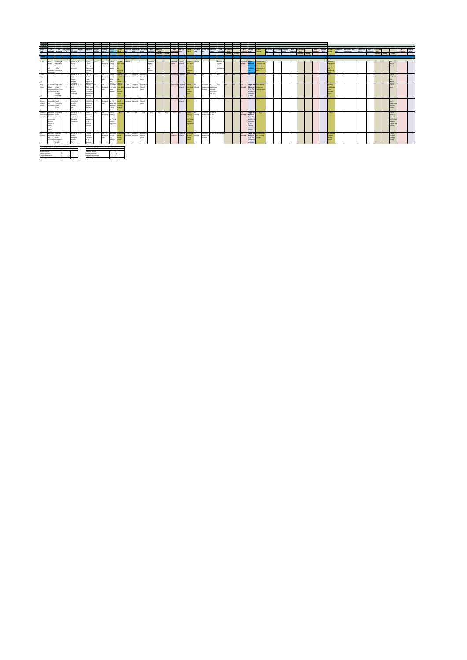| ASSESSMENT OF Q1 2021/22 PERFORMANCE SUMMARY |     | ASSESSMENT OF Q2 2021/22 PERFORMANCE SUMMARY |    |  |
|----------------------------------------------|-----|----------------------------------------------|----|--|
| <b>Targets Planned</b>                       |     | <b>Targets Planned</b>                       |    |  |
| <b>Targets Achieved</b>                      |     | <b>Targets Achieved</b>                      |    |  |
| <b>Targets Not Achieved</b>                  |     | <b>Targets Not Achieved</b>                  |    |  |
| <b>Percentage Achievement</b>                | 20% | <b>Percentage Achievement</b>                | 0% |  |

Baseline Budget

KPI No

Funding Annual Quarter Achieved Reason for Corrective POE Mainstrea<br>Source Target One(1) Not Non. Action Obtained ming<br>(Yes/No)

Group

**SEDIBENG** 

**SEDIBENG**<br> **OFFICE OF**<br> **PERFORM**<br>
Priority IDP IDP Objective Key<br>
Area Strategy Objective No. Perform

|               |                                           |                          |                                                      |                                                |                                                      | FIM/YIFID                  |          |                                                |                          |                                           |      | F/M/Y/F/D   |                      |                             | F/M/Y/F/D |                    |  | $F/M/Y$ F $\vert$ required |
|---------------|-------------------------------------------|--------------------------|------------------------------------------------------|------------------------------------------------|------------------------------------------------------|----------------------------|----------|------------------------------------------------|--------------------------|-------------------------------------------|------|-------------|----------------------|-----------------------------|-----------|--------------------|--|----------------------------|
| KPA6:         |                                           |                          |                                                      |                                                |                                                      |                            |          |                                                |                          |                                           |      |             |                      |                             |           |                    |  |                            |
|               |                                           |                          |                                                      |                                                |                                                      |                            |          |                                                |                          |                                           |      |             |                      |                             |           |                    |  |                            |
|               |                                           |                          |                                                      |                                                |                                                      |                            |          |                                                |                          |                                           |      |             |                      |                             |           |                    |  |                            |
| Caucus        | o stabilize<br>C1<br>Peruse               | Number of C.1.1          | $\begin{bmatrix} \text{Four} (4) \end{bmatrix}$ OPEX | Own<br>Convene                                 | Convene Achieved<br>Attandance                       | information Target         |          | Convene Achieved                               |                          | Attandance                                |      |             | Information Target   | Convene one                 |           | Convene            |  |                            |
|               | efficient,<br>the political               | caucus                   | Caucus                                               | $\vert$ Four $(4)$<br>Municipalit<br>one Caucu | register,                                            | verified                   | Achieved | one Cauc                                       |                          | register                                  |      | Verified    | nieved i             | $\vert$ Caucus+AC8:A        |           | one Caud           |  | Caucus                     |
|               | accountable environme                     | meetings                 | Meeting in                                           | funds<br>Caucus                                | invitation                                           |                            |          |                                                |                          | invitation                                |      |             |                      | ∶13 meeting                 |           | neeting            |  | Reports                    |
|               | tofthe                                    | convened                 | the previous                                         | meeting                                        |                                                      |                            |          |                                                |                          | and agenda                                |      |             | utticient            | and produce a               |           |                    |  |                            |
|               | cooperative   municipality                |                          | financial                                            | produce a                                      | <b>Iminutes</b>                                      |                            |          | produce a                                      |                          |                                           |      |             |                      |                             |           | produce a          |  |                            |
|               | lgovernance                               |                          | vear                                                 |                                                |                                                      |                            |          |                                                |                          |                                           |      |             |                      |                             |           | eport <sup>.</sup> |  |                            |
| Caucus        |                                           | Number of C.1.2.         | <b>OPEX</b><br>One $(1)$                             | Own<br>Convene<br>Produce                      | Covid-19   will done in                              | Not Achived Target Not N/A |          |                                                | N/A                      | N/A<br>N/A<br>IN/A                        | N/A  | N/A         | N/A                  | - IN//                      |           |                    |  | Produce                    |
|               |                                           | District-wide            | <b>IDistrict</b>                                     |                                                | one District- achieved   pandamic   the next         |                            | Achieved |                                                |                          |                                           |      |             |                      |                             |           |                    |  | one District               |
| Lekgotla      |                                           |                          |                                                      | Municipality one (1)                           |                                                      |                            |          |                                                |                          |                                           |      |             |                      |                             |           |                    |  |                            |
|               |                                           | Caucus                   | –wide                                                | funds<br>District -                            | lquarter                                             |                            |          |                                                |                          |                                           |      |             |                      |                             |           |                    |  | <b>I</b> wide              |
|               |                                           | Lekgotla                 | caucus in                                            | wide<br>Caucus                                 |                                                      |                            |          |                                                |                          |                                           |      |             |                      |                             |           |                    |  | Caucus                     |
|               |                                           |                          | e previoi                                            | Caucus.                                        |                                                      |                            |          |                                                |                          |                                           |      |             |                      |                             |           |                    |  | ekgotla                    |
| Study         | Co-ordinate To provide<br>C2              | Number of C.2.1          | Ten(10) OPEX                                         | Co-ordinate <b>Produce</b><br>Own              | not Covid-19   will done in                          |                            |          | Not Achived Target Not <b>Produce</b> Not      | councillors Re-          | N/A<br>N/A                                | N/A  | $\vert$ Not |                      | Target Not Produce three    |           | Produce            |  | Produce 12                 |
| Group         | political<br><u>I</u> political           | Study                    | Study group                                          | Municipality                                   | /all 12 study three study achieved pandamic the next |                            |          | Achieved three study Achieved                  | Resess and establishm    |                                           |      | achieved    |                      | Achieved study group        |           | three stu          |  | reports                    |
|               | study group oversight of                  | Group                    | meetings                                             | funds<br>group                                 | <b>quarter</b>                                       |                            |          |                                                | Elections                | nt of study                               |      |             | $(1)$ No PoE         | meetings report             |           | roup               |  |                            |
|               | manageme   matters                        | meetings                 | convened i                                           | meetings.                                      |                                                      |                            |          | neetings                                       |                          | Groups pos                                |      |             | provided for         |                             |           | <b>Imeetings</b>   |  |                            |
|               | <b>prough</b>                             | Convened                 | the previous                                         |                                                |                                                      |                            |          |                                                |                          | LGE 2021                                  |      |             | verification         |                             |           |                    |  |                            |
|               | before the                                |                          | financial                                            |                                                |                                                      |                            |          |                                                |                          |                                           |      |             | $2)$ PMS             |                             |           |                    |  |                            |
|               | متنمعيم تناميشم                           |                          |                                                      |                                                |                                                      |                            |          | IN/A                                           |                          |                                           |      |             | ــــــــامان نم ما م |                             |           |                    |  |                            |
| Joint         | Strengtheni To ensure<br>C3               | Number of $ C.3.1$ .     | One $(1)$ OPEX                                       | Own<br>Convene<br><b>Convene</b>               | not Covid-19   will done in                          | Not Achived Target Not N/A |          |                                                | N/A                      | N/A<br>N/A<br>IN/A I                      | IN/A | IN/A        | N/A                  | IN/A                        |           | N/A                |  | Produce                    |
| Whippery      | ng oversight Good                         | Annual Join              | District Wide                                        | Municipality one (1)<br>one(1)                 | achieved pandamic the next                           |                            | Achieved |                                                |                          |                                           |      |             |                      |                             |           |                    |  | one(1)                     |
| Strategic     | Governan                                  | Whippery                 | Whippery                                             | funds<br>District Wide District V              | lquarter                                             |                            |          |                                                |                          |                                           |      |             |                      |                             |           |                    |  | District Wide              |
| Session       | Accountabili e and                        | Lekgotla                 | Strategic                                            | Whippery<br>vvnippery                          |                                                      |                            |          |                                                |                          |                                           |      |             |                      |                             |           |                    |  | <b>Whippery</b>            |
|               | Sound                                     | Iheld                    | Session in                                           | Strategic                                      |                                                      |                            |          |                                                |                          |                                           |      |             |                      |                             |           |                    |  | Strategic                  |
|               | political                                 |                          | the previous                                         | Session                                        |                                                      |                            |          |                                                |                          |                                           |      |             |                      |                             |           |                    |  | Session                    |
|               | Research Strengtheni   To promote  <br>C4 | Number of C.4.1.         | <b>OPEX</b><br>Three                                 | Conduct<br>N/A<br>Own                          | N/A<br>N/A<br>N/A<br>N/A                             | N/A<br>$N/A$ $N/A$<br>N/A  |          | Conduct<br><b>IN</b> ot                        | councillors will done in |                                           |      | INot -      | Target Not           | N/A                         |           | N/A                |  | Produce                    |
|               | and Political ng systems political        | Research                 | research                                             | Municipality Three (3)                         |                                                      |                            |          | Three (3)<br>Achieved                          | Resess and the next      |                                           |      | achieved    | Achieved             |                             |           |                    |  | $ $ Three $(3)$            |
| Outreaches of | education                                 | and Political            | and political                                        | lfunds<br>Research                             |                                                      |                            |          |                                                | IElections               | lquarter                                  |      |             | $(1)$ No PoE         |                             |           |                    |  |                            |
|               |                                           | Outreaches               | outreaches                                           | and Political                                  |                                                      |                            |          | kesearcr<br>and Politica                       |                          |                                           |      |             | provided for         |                             |           |                    |  | Research<br>and Political  |
|               | <b>governance</b>                         |                          |                                                      |                                                |                                                      |                            |          |                                                |                          |                                           |      |             | verification         |                             |           |                    |  |                            |
|               | $\vert$ , and the                         | Programme                | in the                                               | Outreach                                       |                                                      |                            |          | )utreach                                       |                          |                                           |      |             |                      |                             |           |                    |  | Outreach                   |
|               | analysis of                               |                          | previous                                             | Programme                                      |                                                      |                            |          | Programm                                       |                          |                                           |      |             | $ 2)$ The            |                             |           |                    |  | <b>Programme</b>           |
|               | political                                 |                          | tinancial                                            |                                                |                                                      |                            |          |                                                |                          |                                           |      |             | <b>reasons</b>       |                             |           |                    |  | $\vert$ s reports          |
|               | activities,                               |                          | <b>Vear</b>                                          |                                                |                                                      |                            |          |                                                |                          |                                           |      |             | provided for         |                             |           |                    |  |                            |
|               | political                                 |                          |                                                      |                                                |                                                      |                            |          |                                                |                          |                                           |      |             | the non              |                             |           |                    |  |                            |
| <b>PMT</b>    |                                           | $C5$ Number of $C.5.1$ . | Four PMT OPEX                                        | Own                                            | Covid-19   will done in                              |                            |          |                                                |                          | councillors will done in the next quarter |      |             |                      |                             |           |                    |  |                            |
|               | Strengtheni To ensure                     |                          |                                                      | Co-ordinate Co-ordinate                        | not                                                  | Not                        |          | Target Not Co-ordinate Not<br>one PMT Achieved |                          |                                           |      | Not         |                      | Target Not Co-ordinate one  |           | Co-ordina          |  | Produce                    |
| Meetings      | ng oversight effective                    | Political                | Meeting                                              | one PMT<br>Municipality Four (4)               | achieved pandamic the next                           | achieved                   | Achieved |                                                | Resess and               |                                           |      | achieved    |                      | Achieved <b>PMT</b> Meeting |           | one PMT            |  | four PMT                   |
|               | political<br> and                         | Manageme                 | Convened                                             | PMT<br>funds<br>Meeting                        | quarter                                              |                            |          | Meeting                                        | Elections                |                                           |      |             | 1) No PoE            | inutes                      |           | Meeting            |  | Meetings                   |
|               | Accountabili   managem                    | nt Team                  | in the                                               | Meetings<br>minutes                            |                                                      |                            |          | nınutes                                        |                          |                                           |      |             | provided for         |                             |           | minutes            |  | minutes                    |
|               | nt of the                                 | (PMT)                    | previous                                             |                                                |                                                      |                            |          |                                                |                          |                                           |      |             | verification         |                             |           |                    |  |                            |
|               |                                           |                          |                                                      |                                                |                                                      |                            |          |                                                |                          |                                           |      |             |                      |                             |           |                    |  |                            |

mina<br>(Yes/No)

Group

PMS Internal Quarter Achieved Reason for Corrective POE Mainstrea<br>Comments Audit Two(2) Not Non. Action Obtained mino

**Example 15 PMS** Internal Quarter

Achieved Reason for Corrective POE Mainstrea<br>
Not Non. Action Obtained ming

 $(Yes/No)$ 

**PMS** Internal

(Yes/No) Group POEs

**EXECUTE:** PMS Internal Quarter Achieved Reason for Non, Corrective POE Mainstrea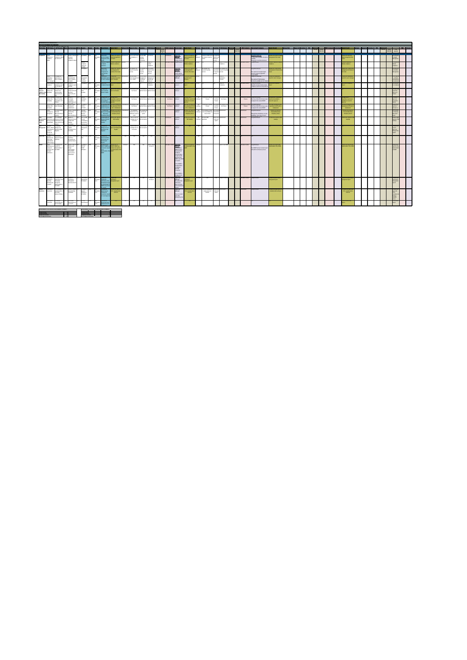|                                            | <b>SEDIBENG DISTRICT MUNICIPALITY</b><br><b>OFFICE OF THE MUNICIPAL MANAGER</b>                                                                                                                      |                                                                                         |                                                                                                                 |                                |                                                                                                                                  |                                                                                                                                                                    |              |                                                                       |                                                                                                                                                                 |                                         |                                                |                                                                                                                                                                                          |                                                                              |                                                                                   |                                          |                                                                                                                                           |          |                                        |                                                                                                                                       |                                                                              |                      |                                     |                |                 |                                                      |                                                                                   |                                    |                                         |                                                                                    |
|--------------------------------------------|------------------------------------------------------------------------------------------------------------------------------------------------------------------------------------------------------|-----------------------------------------------------------------------------------------|-----------------------------------------------------------------------------------------------------------------|--------------------------------|----------------------------------------------------------------------------------------------------------------------------------|--------------------------------------------------------------------------------------------------------------------------------------------------------------------|--------------|-----------------------------------------------------------------------|-----------------------------------------------------------------------------------------------------------------------------------------------------------------|-----------------------------------------|------------------------------------------------|------------------------------------------------------------------------------------------------------------------------------------------------------------------------------------------|------------------------------------------------------------------------------|-----------------------------------------------------------------------------------|------------------------------------------|-------------------------------------------------------------------------------------------------------------------------------------------|----------|----------------------------------------|---------------------------------------------------------------------------------------------------------------------------------------|------------------------------------------------------------------------------|----------------------|-------------------------------------|----------------|-----------------|------------------------------------------------------|-----------------------------------------------------------------------------------|------------------------------------|-----------------------------------------|------------------------------------------------------------------------------------|
|                                            | PERFORMANCE REPORTING FOR 2021/22 FINANCIAL YEAR<br>Priority Area   IDP Strategy   IDP Objective   Objecti   Key Performance   KPI No   Baseline   Budget   Funding   Annual Target   Quarter One(1) |                                                                                         |                                                                                                                 |                                |                                                                                                                                  |                                                                                                                                                                    |              |                                                                       | Achieved /Not Reason for Non, Corrective   POE Obtained Mainstre                                                                                                |                                         | <b>I PMS Comments</b>                          |                                                                                                                                                                                          | Internal Audit   Quarter Two(2)                                              | Reason for Non,<br><b>Achieved</b>                                                |                                          | Corrective   POE Obtained                                                                                                                 |          | <b>PMS Comments</b>                    | Internal Audit Comments                                                                                                               | Quarter Three(3)                                                             | <b>Achieved /Not</b> | Reason for Corrective<br><b>POE</b> |                |                 | <b>PMS Comments   Internal Audit Quarter Four(4)</b> |                                                                                   | Achieved Reason for Corrective POE |                                         | <b>PMS</b> Interna                                                                 |
|                                            |                                                                                                                                                                                                      |                                                                                         |                                                                                                                 |                                |                                                                                                                                  |                                                                                                                                                                    |              |                                                                       |                                                                                                                                                                 | (Yes/No)  <br><b>Group</b><br>I F/M/Y/E |                                                |                                                                                                                                                                                          |                                                                              |                                                                                   |                                          |                                                                                                                                           | (Yes/No) |                                        |                                                                                                                                       |                                                                              |                      |                                     | (Yes/No) Group | <b>F/M/Y/E/</b> |                                                      |                                                                                   |                                    | (Yes/No)<br>Group  <br><b>F/M/Y/E/D</b> | <b>POEs</b>                                                                        |
| <b>Compliance</b>                          | o ensure that all  <br>∎Ensure<br>compliance matters<br>∎adnerence t<br>re adhered to<br>compliance<br>Imatters                                                                                      | proauceo<br>regarding<br>compliance matters                                             | Number of reports D.1.1 No baseline Opex                                                                        | Municipality                   | Produce four<br>reports on Assets<br>nagement of the l                                                                           | Assets management<br>ie Cluste                                                                                                                                     |              | inconcisitatency of                                                   | roduce one report on Not Achieved Due to covid-19 and when the MM not achived<br>has been<br>permanently                                                        |                                         | Not Achieved                                   | <u>arget Not</u><br><u>chieved</u><br>I here was i<br>portfolio of evidence                                                                                                              | duce one report on<br>Assets management c                                    | the Indicator should be                                                           | It must be clerified where we adjust the | <b>HINGICATOL</b><br>allocated<br>I where it                                                                                              |          |                                        | <b>Target Not Achieved</b><br>) There was no portfolio of evidence Imanagement of the Cluster<br>Reasons for nonachievement were      | 'roduce one report on Asset                                                  |                      |                                     |                |                 |                                                      | roduce one report on<br>Assets management of the                                  |                                    |                                         | Four Report<br>n Assets<br>Managemen                                               |
|                                            |                                                                                                                                                                                                      |                                                                                         | Website<br>complianc<br>reports are<br>available                                                                |                                | Produce 12 reports<br>on Website<br>compliance                                                                                   | roduce 3 reports on Achived<br>Vebsite compliance                                                                                                                  |              |                                                                       | ∥Report 0n<br>website<br>compliance                                                                                                                             |                                         |                                                | Information Verified Target Achieved                                                                                                                                                     | roduce 3 reports on<br>l Website compliance                                  | <b>Achived</b>                                                                    |                                          | Report On website<br>npliance                                                                                                             |          | Information Verified                   | Target Achieved                                                                                                                       | Produce 3 reports on Website                                                 |                      |                                     |                |                 |                                                      | Produce 3 reports on<br>l Website compliance                                      |                                    |                                         | 2 Reports o<br><b>VVebsite</b><br>compliand                                        |
|                                            |                                                                                                                                                                                                      |                                                                                         | No baseline                                                                                                     |                                | Produce four<br>reports on the<br>management of<br>contracts of the                                                              | oduce one report on Not Achieved<br>ne management o<br><b>Intracts of the Cluste</b>                                                                               |              | The indicator was<br>moved to Coporate<br><b>I</b> services           | The indicator was The indicator<br>was moved t<br>ved to<br>Coporate<br><b>Coporate</b><br><b>I</b> services<br><b>ISERVICES</b>                                |                                         |                                                | Target Not<br><b>Achieved</b><br>Although the<br>reasons cited fo<br>ot achieving is                                                                                                     | duce one report on<br>e management of<br>ntracts of the Cluster              | The indicator was<br>moved to Coporate<br>Achieved<br><b>I</b> services           |                                          | The indicator The indicator wa<br>was moved I moved to Copo<br><b>Iservices</b><br>to Coporate<br><b>ISELVICES</b>                        |          |                                        | Target Not Achieved<br>The reason for moving the target<br>shoud be monitored against the<br>revised SDBIP.                           | Produce one report on the<br>management of contracts of t                    |                      |                                     |                |                 | the Cluster                                          | Produce one report on th<br>management of contracts                               |                                    |                                         | <b>Four Report</b><br>on Contract<br>Managemen                                     |
|                                            | assess the<br>∎Ensure<br>performance<br>performance o<br>senior manager<br>appraisal of<br>senior manager                                                                                            | Number of<br>assessments fo<br>I senior managers<br>completed                           | assessments<br>for senior<br>managers                                                                           |                                | Produce four<br>issessment reports :                                                                                             | roduce four<br>assessment report<br>tor senior managers <b> s</b> enior managers                                                                                   | Not Achieved | We have Acting<br>Tsenior manaders w<br>are on rotation               | Ince the senior   Once the senio<br>nanaders are<br>Imanaders ar<br>Iparmanently<br>parmanently<br>employec<br>employed                                         |                                         |                                                | <b>Target Not</b><br>Achieved                                                                                                                                                            | oduce four assessment Achived<br>eports for senior<br><b>Imanagers</b>       |                                                                                   |                                          | <b>I</b> performance                                                                                                                      |          |                                        | <b>Target Not Achieved</b><br>The section 57 Performance<br><b>Contracts available are for Cluster</b>                                | 'roduce four assessment_<br>reports for senior managers                      |                      |                                     |                |                 |                                                      | Produce four assessment<br>reports for senior manage                              |                                    |                                         | Four Repo<br>on Senior<br>Managemen<br>Assessment                                  |
|                                            | Ensure legislative To ensure that all<br>compliance<br>ompliance re<br>are submitted                                                                                                                 | Number of<br>compliance reports<br>submitted                                            | No baseline Opex                                                                                                | Municipality                   | ubmit Four<br>Compliance Reports   Repor                                                                                         | Submit one Compliance Achived                                                                                                                                      |              |                                                                       | Report on<br>Compliance                                                                                                                                         |                                         |                                                | Information Verified Duplicate KPI to<br>row no. 8                                                                                                                                       | bmit one Compliance Achived                                                  |                                                                                   |                                          | IN/A<br>IReport on<br>:ompliance                                                                                                          |          | Information Verified                   | Target Not Achieved<br>The KPI is not clear in terms of what<br>compliance reports are beng referre                                   | ubmit one Compliance                                                         |                      |                                     |                |                 |                                                      | Submit one Compliand                                                              |                                    |                                         | <b>Four reports</b><br>on Complian                                                 |
| <b>Sound</b><br>financial<br>Municipality] | Sound Financial To ensure that all<br>/iability of th<br>;)lusters have<br>cash-flow plans<br><b>Viability of the Municipality</b><br>approved by the                                                | Number of<br>ેlusters with<br>Tilow Plans<br>approved by the                            | No cash flow Opex<br>Iplans<br><b>l</b> available                                                               | Municipality                   | MM approved<br>seven cash flow<br>Iplans for clusters                                                                            | pprove one Cash-flow Not Achieved<br>lan for all Clusters.                                                                                                         |              | The function is with $\vert$<br>the Finance                           | The function is The function is<br>with the Finance with the Finance                                                                                            |                                         |                                                | <b>Target Not</b><br><b>I</b> Achieved                                                                                                                                                   |                                                                              |                                                                                   |                                          |                                                                                                                                           |          |                                        |                                                                                                                                       |                                                                              |                      |                                     |                |                 |                                                      |                                                                                   |                                    |                                         | <b>One Approv</b><br>Cash Floy<br>IPlan for a<br>Clusters                          |
|                                            | Sound Financial To monitor and<br>Viability of the<br>sign-off municipal<br>expenditure of al<br>Municipality<br>Clusters                                                                            | 1 Number of<br><b>I</b> municipality<br>expenditure<br>reports signed-of                | Reports<br>Onex)<br>submitted to<br><b>I</b> province                                                           | Municipality<br>Itunds         | Council for approval approval                                                                                                    | MM approved 12 $\vert$ MM approved 3<br>Expenditure reports Expenditure reports an<br>and submitted to Submitted to Council for                                    |              | the Finance                                                           | Not Achieved   The function is with   The function is   The function is<br>with the Finance with the Finance                                                    |                                         | The function is with Target Not<br>the Finance | Achieved                                                                                                                                                                                 | MM approved 3<br>Expenditure reports a<br>submitted to Council for           | Achieved                                                                          | Finance                                  | Not The function is with the The function The function is with<br>the Finance<br>is with the I<br>Finance                                 |          | Finance                                | The function is with the Target Not Achieved<br>The move of the KPI to Finance must<br>be aligned to the revised SDBIP                | MM approved 3 Expenditure<br>reports and submitted to<br>ouncil for approval |                      |                                     |                |                 | approval                                             | MM approved 3<br><b>Expenditure reports and</b><br>submitted to Council for       |                                    |                                         | 12 Council<br><b>approved</b><br>expenditure<br>reports                            |
|                                            | Sound Financial   To assess the AFS <br>Viability of the<br>of the municipality<br>Municipality                                                                                                      | D1 Number of AFS<br>Assessed to<br>misstatements                                        | Availability of Opex<br>201/2020                                                                                | Municipality                   |                                                                                                                                  | $missing$ misstatements and $\parallel$ the assessment of AF<br>produce 4 reports   with no mistatetement                                                          |              |                                                                       | To assess the AFS Provvide one Report on Not Achieved The function is with The function is The function is<br>the Finance   with the Finance   with the Finance |                                         | The function is with Target Not<br>the Finance | Achieved                                                                                                                                                                                 | the assessment of AF<br>with no mistatetement                                | Achieved                                                                          | Finance                                  | rovvide one Report on Not The function is with the The function The function is with<br>the Finance<br>is with the $\parallel$<br>Finance |          | Finance                                | The function is with the Target Not Achieved<br>The move of the KPI to Finance must<br>be aligned to the revised SDBIP                | Provvide one Report on the<br>assessment of AFS with no<br>mistatetement     |                      |                                     |                |                 |                                                      | Provvide one Report on the<br>assessment of AFS with n<br>mistatetement           |                                    |                                         | <b>Produce four</b><br>reports on<br>AFS with no<br><u>nictotomonte</u>            |
|                                            | To ensure that the $\mid$<br>I∟nsure<br>Consequence<br><b>Financial</b><br>Misconduct Boar<br><b>Imanagement</b><br>meets for<br>مممم المسامحية                                                      | Number of reports II<br>produced b<br>Fınancıal<br><b>IMisconduct Board</b>             | Financial<br>Misconduct<br>∣Board is<br>established                                                             | Municipality                   | Produce four<br>reports on Financial<br>Misconduct<br>Disciplinary Boa                                                           | Produce one report on Not Achieved<br><b>Financial Misconduct</b><br>Disciplinary Board                                                                            |              | The discipinary<br>Board has not yet<br>finslize the cases at<br>hand | Next meeting wi<br>sit in the next<br>quarter                                                                                                                   |                                         |                                                | <b>Target Not</b><br><b>Achieved</b>                                                                                                                                                     | roduce one report on<br><b>Financial Misconduct</b><br>Disciplinary Board    | Not<br>Achieved has not yet finslize the will sit in the                          | cases at hand                            | The discipinary Board Next meeting Not Achieved<br>I next quarter                                                                         |          | Not Achieved                           | Target Not Achieved<br>Although there Disciplenary oar was<br>esteblished - there was not report<br>صمام مستحدثته المتعارض والمستلمين | Produce one report on<br><b>Financial Misconduct</b><br>Disciplinary Board   |                      |                                     |                |                 |                                                      | Produce one report on<br><b>Financial Misconduct</b><br><b>Disciplinary Board</b> |                                    |                                         | Four reports<br>on Financial<br>Misconduct<br><b>I</b> Board                       |
| Inter-<br>governmental<br><b>Relations</b> | o coordinated<br>Cooperative<br>l governance, joint Intergovernmenta<br>planning and joint collaborations with<br>implementation<br>local, province and<br>nawonal                                   | Number of<br><u>Intergovernmental</u><br>Collaboration<br>Imeetings<br>coordinated      | Four $(4)$ IGR OPEX<br>Forums<br>coordinated in<br>the previous<br>financial year                               | Municipality                   | Conduct eight (<br>Intergovernmenta                                                                                              | Produce two reports on Not Achieved<br><b>IGR</b> meetings                                                                                                         |              | Due to covid-19<br>meetings can not<br>Convened                       | will be done in not achived<br>the next quarter                                                                                                                 |                                         | Not Achieved                                   | Target Not<br><b>I</b> Achieved                                                                                                                                                          | roduce two reports on<br><b>IGR</b> meetings                                 | No senior Staff<br>Not<br>Achieved appointend                                     |                                          | will be done Not Achieved<br>in the next<br>quarter                                                                                       |          | Not Achieved                           | Target Not Ahieved                                                                                                                    | Produce two reports on IGR<br>meetings                                       |                      |                                     |                |                 |                                                      | Produce two reports on IC<br>meetings                                             |                                    |                                         | <b>Produce eight</b><br>reports on IG<br>meetings                                  |
|                                            | Maintains<br>o develop<br>Management effective, efficient Strategic and<br>and transparent   Operational Risi<br>systems of<br>Registers<br>financial risk<br>management an                          | Number of Risks   D3.<br>registers<br>developed for the<br>municipalit                  | 2020 /21 Risk   OPEX<br>Management<br>l Plan                                                                    | Municipality                   | Develop one<br>/ Strategic and one<br><b>Operational Risl</b>                                                                    | Produce one Council Not Achieved<br>I approved Strategic R<br>Register                                                                                             |              | meetings can not<br>Convened                                          | Due to covid-19   will be done in   not achived<br>the next quarter                                                                                             |                                         | Not Achieved                                   | Target Not<br><b>I</b> Achieved                                                                                                                                                          | N/A N                                                                        | $N/A$ $N/A$                                                                       |                                          | N/A                                                                                                                                       |          |                                        |                                                                                                                                       |                                                                              |                      |                                     |                |                 |                                                      |                                                                                   |                                    |                                         | <b>Produce one</b><br>approved<br>Strategic Ris                                    |
|                                            | <b>Audit Plan</b> Develop,<br>Develop and<br>Implement Interna<br>Implement and<br>udit Plan .<br>∣monitor Risk-<br>based Internal<br>Audit Coverage                                                 | <b>Audit Plans</b><br>Developed and<br>reports produced                                 | D4 Number of Internal D4.1 2020/21 Audit OPEX                                                                   | II wn<br>Municipality          | Develop one<br><b>Internal Audit Pla</b><br>and produce fo<br><b>Internal Audit</b>                                              |                                                                                                                                                                    | N/A          | N/A                                                                   | N/A                                                                                                                                                             | N/A                                     | $IN/\Delta$                                    |                                                                                                                                                                                          |                                                                              | N/A IN/A                                                                          |                                          | N/A<br>IN/A                                                                                                                               |          |                                        |                                                                                                                                       |                                                                              |                      |                                     |                |                 |                                                      |                                                                                   |                                    |                                         |                                                                                    |
| <b>SDBIP</b>                               | <b>Ensure</b><br>measurable and   monitor the<br>transparent<br>implementation of<br>monitoring of the the SDBIP<br>municipal<br>performance.                                                        | Delivery and<br>Budget<br>Implementation<br>Plans(SDBIP)<br>approved and<br>implemented | To develop and   D5   Number of Service   D5.1   Availability of   OPEX<br><b>IDP</b> and<br>SDBIP<br>2020/2021 | II wn<br>lfunds                | on the<br>implementation of the SDBIP                                                                                            | Develop one $(1)$ Develop one $(1)$<br>Municipality 2020/21 SDBIP and 2020/21 SDBIP and<br>produce four reports produce one report on<br>the implementation of the | Achieved     | N/A                                                                   | N/A<br>2020/21 SDBIP                                                                                                                                            | $p$ roduced $\vert$                     | Information Verified Target Not                | Achieved<br>1) Although the<br>SDBIP has been<br>developed and<br>submitted to<br><b>Executive Mayor</b><br>for approval, the<br>alignment of the<br>SDBIP to the FMPII<br>-is required. | <b>Produce one report on Achieved</b><br>the implementation of the<br>ISDRII |                                                                                   |                                          | report on the SDBIP                                                                                                                       |          | Information Verified   Target Achieved | The SDBIP has been revised as part<br>of the Mid-Term Review process.                                                                 | Produce one report on the<br>implementation of the SDBIP                     |                      |                                     |                |                 |                                                      | Produce one report on the<br>implementation of the SDBIP                          |                                    |                                         | <b>Produce four</b><br>reports on the<br>implementation<br>of SDBIP                |
|                                            |                                                                                                                                                                                                      |                                                                                         |                                                                                                                 |                                |                                                                                                                                  |                                                                                                                                                                    |              |                                                                       |                                                                                                                                                                 |                                         |                                                | $\vert$ 2) The SDBIP is<br>not supported by<br>an Standard<br>Operating<br>Procedures<br>3) The SDBIP is<br>not aligned to the                                                           |                                                                              |                                                                                   |                                          |                                                                                                                                           |          |                                        |                                                                                                                                       |                                                                              |                      |                                     |                |                 |                                                      |                                                                                   |                                    |                                         |                                                                                    |
| <b>IPMS</b>                                | o monitor the<br>Co-ordinate<br>Performance<br>performance of the<br>municipality<br> Reporting,<br>through the<br>Monitoring and<br>Evaluation<br>implementation<br>the SDBIP                       | D6 Number of<br>Performance<br>Management<br>Reports produced                           | Performance OPEX<br>Management<br>Framework                                                                     | IOwn<br>Municipality<br>∥funds | Monitor and<br>evaluate the<br>performance of the<br>Municipality throi<br>the implementation<br>SDBIP and produ<br>four reports | Produce one<br>performance<br>  management report                                                                                                                  | Achieved     | N/A                                                                   | N/A                                                                                                                                                             | Report<br>Produced                      | Information Verified Target Not                | Achieved<br>The quality of the<br>Performance<br>Report produced<br>for IA's assessment<br>requires                                                                                      | <b>Produce one</b><br>performance<br>management report                       | Achieved                                                                          | N/A                                      | N/A   Report Produced                                                                                                                     |          |                                        | Information Verified Target Achieved                                                                                                  | Produce one performance<br>management report                                 |                      |                                     |                |                 |                                                      | Produce one performance<br>management report                                      |                                    |                                         | <b>Produce four</b><br>performance<br>management<br>reports                        |
| <b>Quality</b><br>Assurance                | Ensure good<br>governance<br>remedial actions or<br><b>the Auditor</b><br>General Findings                                                                                                           | To coordinate the   D7   Number of Auditor   D1<br>General findings<br>remediated       | 44 Auditor<br>General<br>Findings for<br>2019/2020                                                              | II wn<br>lfunds                | Remediate all<br>Municipality Auditor General<br><b>Findings and</b><br>produce four repo<br>for Council approv                  | roduce one report with Not Achieved<br>25% remedial actions<br>achieved                                                                                            |              |                                                                       |                                                                                                                                                                 |                                         |                                                | Target Not<br>Achieved<br>There is no Audit<br><b>Action Plan</b><br>developed as PoE                                                                                                    | 25% remedial actions<br>achieved                                             | oduce one report with Not Achieved the final management will be done Not Achieved | Letters where not<br>finalised           | I in the next<br>quarter                                                                                                                  |          | Not Achieved                           | Target Achieved                                                                                                                       | Produce one report with 25'<br>remedial actions achieved                     |                      |                                     |                |                 |                                                      | Produce one report with<br>25% remedial actions<br>achieved                       |                                    |                                         | <b>Produce four</b><br>report with<br>100%<br>cumulative A<br>Findings<br>remedial |
|                                            | Ensure good<br>To develop<br>Annual Report for<br>governance<br>the municipality                                                                                                                     | D8 One Annual<br>Report approved<br>by Council                                          | 2019/20<br><b>IOPEX</b><br>Annual Report                                                                        |                                | Produce one<br>Municipality Annual report and<br>submit it to Council                                                            | N/A                                                                                                                                                                | N/A          | N/A                                                                   | N/A                                                                                                                                                             | N/A                                     |                                                |                                                                                                                                                                                          | N/A                                                                          |                                                                                   |                                          |                                                                                                                                           |          |                                        |                                                                                                                                       |                                                                              |                      |                                     |                |                 |                                                      | <b>Produce draft Annual</b>                                                       |                                    |                                         | actions<br>Draft Annual<br>Report                                                  |

| <b>IASSESSMENT OF Q1 2021/22 PERFORMANCE SUMMARY</b> |     | <b>IASSESSMENT OF Q1 2021/22 PERFORMANCE SUMMARY</b> |     |  |
|------------------------------------------------------|-----|------------------------------------------------------|-----|--|
|                                                      |     |                                                      |     |  |
| Targets Planned                                      |     | Targets Planned                                      |     |  |
| Targets Achieved                                     |     | Targets Achieved                                     |     |  |
| Targets Not Achieved                                 |     | Targets Not Achieved                                 |     |  |
| <b>Percentage Achievement</b>                        | 14% | <b>IPercentage Achievement</b>                       | 33% |  |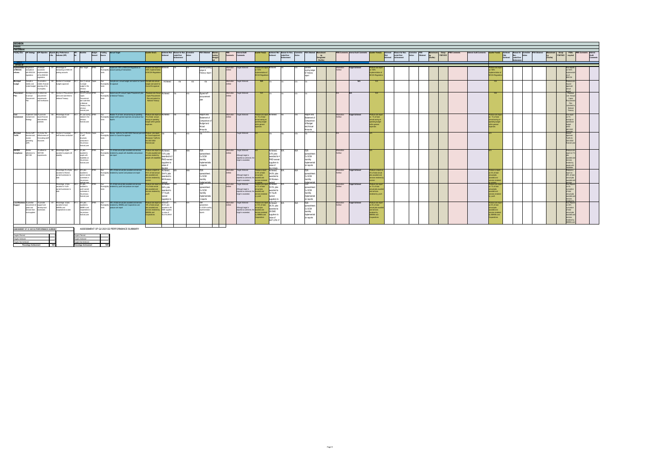| <b>SEDIBEN</b><br>FINANCE                                                                      |                                                  |                                                 |                                                                                                    |                                                              |                          |                                                                                                                                                     |                                                                  |                                           |                                           |                                    |                                |                                                             |                                                      |                         |                    |                |                                                                   |                                       |                                                              |                                       |                 |                   |                                                  |                         |                                              |                              |          |                                             |
|------------------------------------------------------------------------------------------------|--------------------------------------------------|-------------------------------------------------|----------------------------------------------------------------------------------------------------|--------------------------------------------------------------|--------------------------|-----------------------------------------------------------------------------------------------------------------------------------------------------|------------------------------------------------------------------|-------------------------------------------|-------------------------------------------|------------------------------------|--------------------------------|-------------------------------------------------------------|------------------------------------------------------|-------------------------|--------------------|----------------|-------------------------------------------------------------------|---------------------------------------|--------------------------------------------------------------|---------------------------------------|-----------------|-------------------|--------------------------------------------------|-------------------------|----------------------------------------------|------------------------------|----------|---------------------------------------------|
|                                                                                                |                                                  |                                                 |                                                                                                    |                                                              |                          |                                                                                                                                                     |                                                                  |                                           |                                           |                                    |                                |                                                             |                                                      |                         |                    |                |                                                                   |                                       |                                                              |                                       |                 |                   |                                                  |                         |                                              |                              |          |                                             |
| PERFORMANO<br>---------                                                                        |                                                  |                                                 |                                                                                                    |                                                              |                          |                                                                                                                                                     |                                                                  |                                           |                                           |                                    |                                |                                                             |                                                      |                         |                    |                |                                                                   |                                       |                                                              |                                       |                 |                   |                                                  |                         |                                              |                              |          |                                             |
|                                                                                                |                                                  |                                                 | Priority Area   IDP Strategy   IDP Objective   Objectiv   Key Performance<br>e No. Indicator (KPI) | <b>IAmount</b>                                               | <b>Source</b>            | Budget Funding Annual Target                                                                                                                        | Quarter One(1)                                                   | under/Over                                | chieved /Not IReason for Non. ICorrective | <b>IMainstr</b><br>eaming          | <b>Comments</b>                | Internal Audit<br><b>Comments</b>                           |                                                      | <b>Achieved</b>         | under/Over         | <b>I</b> Actio | Achieved /Not Reason for Non, Corrective POE Obtained Mainstreami |                                       | <b>PMS Comments Internal Audit Comments Quarter Three(3)</b> |                                       | under/Over      | ।instreami        | Group<br><b>PMS Comments</b><br><b>F/M/Y/E/D</b> | Internal Audit Comments |                                              | <b>Reason for Corrective</b> |          | $\mid$ F/M/Y/E/D $\mid$<br>Audit<br>require |
|                                                                                                |                                                  |                                                 |                                                                                                    |                                                              |                          |                                                                                                                                                     |                                                                  | <b>Achievemen</b>                         |                                           |                                    |                                |                                                             |                                                      |                         | <b>Achievement</b> |                |                                                                   |                                       |                                                              |                                       | <b>Achiever</b> | I <i>(Yes/No)</i> |                                                  |                         |                                              |                              | (Yes/No) | Comment                                     |
|                                                                                                |                                                  |                                                 |                                                                                                    |                                                              |                          |                                                                                                                                                     |                                                                  |                                           |                                           |                                    |                                |                                                             |                                                      |                         |                    |                |                                                                   |                                       |                                                              |                                       |                 |                   |                                                  |                         |                                              |                              |          |                                             |
| <b>OFFICE OF</b><br>the control of the control of the control of the control of the control of |                                                  |                                                 |                                                                                                    |                                                              |                          |                                                                                                                                                     |                                                                  |                                           |                                           |                                    |                                |                                                             |                                                      |                         |                    |                |                                                                   |                                       |                                                              |                                       |                 |                   |                                                  |                         |                                              |                              |          |                                             |
| <b>Implementation In</b>                                                                       |                                                  |                                                 | Percentage of                                                                                      | New larget                                                   |                          |                                                                                                                                                     | Produce one report on Achieved                                   |                                           |                                           | General pos                        | <b>Information</b><br>Verified | <b>Target Achieved</b>                                      | Produce one report   Achieved                        |                         |                    |                | General                                                           | Information<br>Verified               | <b>Target Achieved</b>                                       | Produce one repo                      |                 |                   |                                                  |                         | oduce one repc<br>n 100%                     |                              |          | our reports                                 |
| of MSCOA<br>reforms                                                                            | Compliance<br>with MSCOA                         | successtul<br><b>Implementation</b>             | <b>Itransacting on MSCOA</b><br>posting accounts                                                   |                                                              | Municip[ality<br>funds   | ccount posting of transactions                                                                                                                      | 1100% implementation<br><b>of MCOA Requiat</b>                   |                                           |                                           | ledger &<br><b>Treasury report</b> |                                |                                                             | on 100%<br>mplementation                             |                         |                    |                | posting led<br>& Treasury                                         |                                       |                                                              | on 100%<br>implementation             |                 |                   |                                                  |                         | nplementation                                |                              |          | imblemeni                                   |
|                                                                                                | regulations                                      | of the MSCOA                                    |                                                                                                    |                                                              |                          |                                                                                                                                                     |                                                                  |                                           |                                           |                                    |                                |                                                             | <b>MCOA Requlation</b>                               |                         |                    |                | <b>I</b> renoi                                                    |                                       |                                                              | <b>MCOA Regulation</b>                |                 |                   |                                                  |                         | <b>ACOA Requlation</b>                       |                              |          |                                             |
|                                                                                                |                                                  | requiations                                     |                                                                                                    |                                                              |                          |                                                                                                                                                     |                                                                  |                                           |                                           |                                    |                                |                                                             |                                                      |                         |                    |                |                                                                   |                                       |                                                              |                                       |                 |                   |                                                  |                         |                                              |                              |          | <b>IMSCOA</b>                               |
| Municipal<br>budget                                                                            | Compile a<br>realistic and                       | <sup>r</sup> o provide a<br>realistic financial | Number of municipal<br>budgets approved                                                            | One (1) annual Capex<br>municipal                            | IOwn<br>/lunicip[alit    | Compile one annual budget and submit to Council Compile one annual<br>approval                                                                      | budget and subm                                                  | Achieved                                  | n/a<br>n/a                                | n/a                                | Information                    | Target Achieved                                             | N/A                                                  |                         |                    |                |                                                                   |                                       | N/A                                                          | N/A                                   |                 |                   |                                                  |                         | - N/A                                        |                              |          | Produce on<br><b>Council</b>                |
|                                                                                                | funded budget planning of the                    |                                                 |                                                                                                    | budget in                                                    | funds                    |                                                                                                                                                     | Council for approv                                               |                                           |                                           |                                    |                                |                                                             |                                                      |                         |                    |                |                                                                   |                                       |                                                              |                                       |                 |                   |                                                  |                         |                                              |                              |          |                                             |
|                                                                                                |                                                  | ı unıcıpalıt <sup>ı</sup>                       |                                                                                                    | previous                                                     |                          |                                                                                                                                                     |                                                                  |                                           |                                           |                                    |                                |                                                             |                                                      |                         |                    |                |                                                                   |                                       |                                                              |                                       |                 |                   |                                                  |                         |                                              |                              |          |                                             |
|                                                                                                | <b>Procurement</b>   Development of To determine |                                                 | Number of Procurement                                                                              | One (01) annual OPEX                                         | IOwn                     | Submit one (01) annual Capex Procurement plan   Prooduce one Annual Achieved                                                                        |                                                                  |                                           |                                           | Signed-off                         | Information                    | Target Achieved                                             | N/A                                                  |                         |                    |                |                                                                   |                                       |                                                              | N/A                                   |                 |                   |                                                  |                         | - N/A                                        |                              |          | Prooduce                                    |
|                                                                                                | an annual<br>Procurement                         | )rocurement<br>requirements                     | plans and submitted to<br>National Treasury                                                        | Capex<br>Procurement                                         | Municip[ality<br>Ifunds  | to National Treasury                                                                                                                                | Capex Procurem<br>Plan and submit                                |                                           |                                           | procuremen                         | <b>Verified</b>                |                                                             |                                                      |                         |                    |                |                                                                   |                                       |                                                              |                                       |                 |                   |                                                  |                         |                                              |                              |          | Lone Annua<br>Capex                         |
|                                                                                                |                                                  | and timetrames                                  |                                                                                                    | I plan submit                                                |                          |                                                                                                                                                     | National Treasur                                                 |                                           |                                           | <b>Inlan</b>                       |                                |                                                             |                                                      |                         |                    |                |                                                                   |                                       |                                                              |                                       |                 |                   |                                                  |                         |                                              |                              |          | ocureme                                     |
|                                                                                                |                                                  |                                                 |                                                                                                    | to National<br>Treasury in t                                 |                          |                                                                                                                                                     |                                                                  |                                           |                                           |                                    |                                |                                                             |                                                      |                         |                    |                |                                                                   |                                       |                                                              |                                       |                 |                   |                                                  |                         |                                              |                              |          |                                             |
|                                                                                                |                                                  |                                                 |                                                                                                    | previous                                                     |                          |                                                                                                                                                     |                                                                  |                                           |                                           |                                    |                                |                                                             |                                                      |                         |                    |                |                                                                   |                                       |                                                              |                                       |                 |                   |                                                  |                         |                                              |                              |          | Nationa                                     |
|                                                                                                |                                                  |                                                 |                                                                                                    | financial year                                               |                          |                                                                                                                                                     |                                                                  |                                           |                                           |                                    |                                |                                                             |                                                      |                         |                    |                |                                                                   |                                       |                                                              |                                       |                 |                   |                                                  |                         |                                              |                              |          | <b>I</b> reasur                             |
| Cost<br>Containment                                                                            | Implement Cost To promote<br>Containment         |                                                 | E4 Percentage of cost<br>saving realized                                                           | 5% cost saving OPEX<br>realized in the                       | IOwn<br>Municip[ality    | Realize 1% of total annual saving on operating   Produce one report on Achieved<br>udget within general expenses and produce four 1% of total annul |                                                                  |                                           |                                           | Report and                         | Information<br><b>Verified</b> | Target Achieved                                             | <b>Produce one report</b> Achieved<br>on 1% of total |                         |                    |                | Report and                                                        | <b>Information</b><br><b>Verified</b> | <b>Target Achieved</b>                                       | Produce one repo<br>on 1% of total    |                 |                   |                                                  |                         | Produce one repo<br><sub>nn</sub> 1% of tota |                              |          | <b>IOne report</b>                          |
|                                                                                                | <b>Strategy</b>                                  | sound financial<br>administration               |                                                                                                    | previous                                                     | Ifunds                   |                                                                                                                                                     | saving on operat                                                 |                                           |                                           | Statement o                        |                                |                                                             | annual saving o                                      |                         |                    |                | Statement<br>Comparison                                           |                                       |                                                              | annual saving o                       |                 |                   |                                                  |                         | annual saving of                             |                              |          | savings o                                   |
|                                                                                                |                                                  | <b>I</b> practices                              |                                                                                                    | financial year                                               |                          |                                                                                                                                                     | I budget within gener-                                           |                                           |                                           | Comparison<br><b>Budget and</b>    |                                |                                                             | pperating budd                                       |                         |                    |                | of Budget                                                         |                                       |                                                              | operating budge                       |                 |                   |                                                  |                         | operating budge                              |                              |          |                                             |
|                                                                                                |                                                  |                                                 |                                                                                                    |                                                              |                          |                                                                                                                                                     |                                                                  |                                           |                                           | ا مسام ۱                           |                                |                                                             | within general                                       |                         |                    |                | and Actual                                                        |                                       |                                                              | within general                        |                 |                   |                                                  |                         | 'ithin general                               |                              |          |                                             |
|                                                                                                |                                                  |                                                 |                                                                                                    |                                                              |                          |                                                                                                                                                     |                                                                  |                                           |                                           | Amounts                            |                                |                                                             |                                                      |                         |                    |                | Amounts                                                           |                                       |                                                              |                                       |                 |                   |                                                  |                         |                                              |                              |          | <b>Igemneral</b>                            |
| <b>Municipal</b>                                                                               | Review tariff   To review the                    |                                                 | <b>E5</b> Number of municipal                                                                      | E5.1 One (1) Review Capex Own                                |                          | Review tariffs for the 2021/2022 financial year and Produce one report                                                                              |                                                                  |                                           |                                           | للطلطا                             |                                | Target Achieved                                             |                                                      |                         |                    |                |                                                                   |                                       |                                                              |                                       |                 |                   |                                                  |                         |                                              |                              |          | Council                                     |
| <b>Tariffs</b>                                                                                 | structure and<br>Income                          | effectiveness o<br>the existing tarr            | tariff reviews conducted                                                                           | structures                                                   | Municip[ality<br>funds   | submit to Council for approval                                                                                                                      | on Council approv<br>Reviewed Tariffs                            |                                           |                                           |                                    |                                |                                                             |                                                      |                         |                    |                |                                                                   |                                       |                                                              |                                       |                 |                   |                                                  |                         |                                              |                              |          |                                             |
|                                                                                                | generating                                       | structures                                      |                                                                                                    | conducted in                                                 |                          |                                                                                                                                                     | the 2021/2022                                                    |                                           |                                           |                                    |                                |                                                             |                                                      |                         |                    |                |                                                                   |                                       |                                                              |                                       |                 |                   |                                                  |                         |                                              |                              |          |                                             |
|                                                                                                |                                                  |                                                 |                                                                                                    | the previous<br>financial year                               |                          |                                                                                                                                                     | tinancial year                                                   |                                           |                                           |                                    |                                |                                                             |                                                      |                         |                    |                |                                                                   |                                       |                                                              |                                       |                 |                   |                                                  |                         |                                              |                              |          | <b>Itinancial ve</b>                        |
|                                                                                                |                                                  |                                                 |                                                                                                    |                                                              |                          |                                                                                                                                                     |                                                                  |                                           |                                           |                                    |                                |                                                             |                                                      |                         |                    |                |                                                                   |                                       |                                                              |                                       |                 |                   |                                                  |                         |                                              |                              |          |                                             |
| GEYODI<br>Compliance                                                                           | Monitor<br>adherence to                          | To adhere to<br><b>I</b> GEYODI                 | Percentage of jobs<br>awarded to people with                                                       | 2% jobs<br>awarded to                                        | TOWN –                   | 1% of total annual jobs awarded and services<br>Municip[ality rendered by people with disabilities and produce                                      | Produce one report on Achieved;<br>1% jobs awarded and 1.0% jobs |                                           |                                           |                                    | Information<br><b>Verified</b> | Target Achieved                                             |                                                      | Achieved;               |                    |                |                                                                   | Information<br>Verified               |                                                              |                                       |                 |                   |                                                  |                         |                                              |                              |          | <b>Produce one</b><br>report on 1           |
|                                                                                                | <b>GEYODI</b>                                    | requirements                                    | <b>I</b> disabilitv                                                                                | people with                                                  | funds                    | one report                                                                                                                                          | services renderd by                                              | $\Box$ awarded to 2                       |                                           | spreadsheet<br>3 x SCM             |                                | Although target is                                          |                                                      | 0% jobs<br>awarded to   |                    |                | spreadshe<br>3 x SCM                                              |                                       |                                                              |                                       |                 |                   |                                                  |                         |                                              |                              |          |                                             |
|                                                                                                |                                                  |                                                 |                                                                                                    | disabilities o<br>the previous                               |                          |                                                                                                                                                     | people with disabilit                                            | <b>PWD-owned</b>                          |                                           | monthly                            |                                | reported as achieved, the<br>target is exceeded.            |                                                      | <b>PWD-owned</b>        |                    |                | monthly                                                           |                                       |                                                              |                                       |                 |                   |                                                  |                         |                                              |                              |          | lawarded a                                  |
|                                                                                                |                                                  |                                                 |                                                                                                    | financial year                                               |                          |                                                                                                                                                     |                                                                  | suppliers                                 |                                           | Implementation                     |                                |                                                             |                                                      | suppliers to            |                    |                | implementa                                                        |                                       |                                                              |                                       |                 |                   |                                                  |                         |                                              |                              |          | renaera r                                   |
|                                                                                                |                                                  |                                                 |                                                                                                    |                                                              |                          |                                                                                                                                                     |                                                                  | value of<br>$DA$ 000                      |                                           | n reports                          |                                |                                                             |                                                      | value of                |                    |                | on reports                                                        |                                       |                                                              |                                       |                 |                   |                                                  |                         |                                              |                              |          | people wi<br>disabilities                   |
|                                                                                                |                                                  |                                                 | Percentage (%) of jobs E6.2 20% jobs                                                               | IOPEX                                                        | Own                      | 0% of total annual jobs awarded and services                                                                                                        | <b>Produce a report on</b> Achieved;                             |                                           |                                           | ITFR                               | Information                    | Target Achieved                                             | Produce a report                                     | 3.115.63<br>Achieved:   |                    | IN/A           |                                                                   | Information                           | <b>Target Achieved</b>                                       | Produce a report on                   |                 |                   |                                                  |                         | Produce a report                             |                              |          | <b>Produce a</b>                            |
|                                                                                                |                                                  |                                                 | awarded to Women<br>owned businesses to                                                            | awarded to                                                   | Municip[ality<br>Ifunds  | endered by women and produce one report                                                                                                             | $5\%$ % of total annual<br>jobs awarded and                      | $\vert$ 24.4% jobs                        |                                           | spreadsheet:                       | <b>Verified</b>                |                                                             | on 5% of total                                       | 4.8% jobs               |                    |                | spreadshee                                                        | Verified                              |                                                              | 5% of total annua<br>jobs awarded and |                 |                   |                                                  |                         | n 5% of total                                |                              |          | report on<br>J% of tota                     |
|                                                                                                |                                                  |                                                 |                                                                                                    | women owner<br>businesses i                                  |                          |                                                                                                                                                     | services rendered                                                | awarded to                                |                                           | 3 x SCM                            |                                | Although target is<br>reported as achieved, the awarded and | annual <sub>l</sub> obs                              | awarded to              |                    |                | 3 x SCM                                                           |                                       |                                                              | services rendered                     |                 |                   |                                                  |                         | nnual lobs<br>warded and                     |                              |          | annual jobs                                 |
|                                                                                                |                                                  |                                                 |                                                                                                    | the previous<br><u>tinancial vear</u>                        |                          |                                                                                                                                                     |                                                                  | 48 Women-<br><u>IOWNed -</u>              |                                           | monthly<br><u>imnlementatio</u>    |                                | target is exceeded.                                         | services rendere                                     | 3 Women<br><u>owned</u> |                    |                | <b>I</b> monthly<br><u>mniementat</u>                             |                                       |                                                              |                                       |                 |                   |                                                  |                         | services rendered<br><u>woman</u>            |                              |          | awarded a                                   |
|                                                                                                |                                                  |                                                 | Percentage of jobs                                                                                 | l4% iobs                                                     | IOwn                     | 4% of total annual jobs awarded and services                                                                                                        | Produce one report on Achieved:                                  |                                           |                                           | ITFR                               | <i>Information</i><br>Verified | Target Achieved                                             | <u> Noman</u><br>Produce one report Achieved:        |                         |                    |                |                                                                   | Information<br>Verified               | <b>Target Achieved</b>                                       | roduce one repor                      |                 |                   |                                                  |                         | roduce one repc                              |                              |          | Fournes                                     |
|                                                                                                |                                                  |                                                 | awarded to Youth<br>owned businesses to                                                            | awarded to<br>youth owned                                    | Municip[ality]<br>Ifunds | endered by youth and produce one report                                                                                                             | 1% of total annual<br>jobs awarded and                           | $8.6\%$ jobs                              |                                           | spreadsheet                        |                                | Although target is                                          | on 1% of total<br>annual jobs                        | 0.5% jobs               |                    |                | spreadshee<br>3 x SCM                                             |                                       |                                                              | on 1% of total<br>annual jobs awarde  |                 |                   |                                                  |                         | n 1% of total<br>ınnual lobs                 |                              |          |                                             |
|                                                                                                |                                                  |                                                 |                                                                                                    | businesses i                                                 |                          |                                                                                                                                                     | services rendered                                                | awarded to<br>7 Youth-                    |                                           | 3 x SCM<br>monthly                 |                                | reported as achieved, the awarded and                       |                                                      | awarded to<br>Youth-    |                    |                | <b>I</b> monthly                                                  |                                       |                                                              | and services                          |                 |                   |                                                  |                         | warded and                                   |                              |          |                                             |
|                                                                                                |                                                  |                                                 |                                                                                                    | the previous<br>financial year                               |                          |                                                                                                                                                     |                                                                  | <b>Towned</b>                             |                                           | <i>l</i> implementation            |                                | target is exceeded.                                         | <b>Services render</b><br>- vouth vo                 | lownea                  |                    |                | <b>implementa</b>                                                 |                                       |                                                              | rendered by youth                     |                 |                   |                                                  |                         | ervices rendered                             |                              |          | jannuai job<br>Tawarded a                   |
|                                                                                                |                                                  |                                                 |                                                                                                    |                                                              |                          |                                                                                                                                                     |                                                                  | suppliers                                 |                                           | n reports                          |                                |                                                             |                                                      | suppliers to            |                    |                | on reports                                                        |                                       |                                                              |                                       |                 |                   |                                                  |                         |                                              |                              |          |                                             |
|                                                                                                | Local Business To prioritize To provide          |                                                 | E7 Percentage of jobs                                                                              | F7.1. 30% jobs<br><b>CPEX</b>                                | Own                      | 0% of total annual jobs awarded and services                                                                                                        | <b>Produce one report on Achieved:</b>                           |                                           |                                           |                                    |                                | Information   Target Achieved                               | Produce one report Achieved;                         |                         |                    | IN/A           |                                                                   | <b>Information</b>                    | Target Achieved                                              | Produce one repor                     |                 |                   |                                                  |                         | Produce one report                           |                              |          | Four Reports                                |
| Support                                                                                        | ocurem en<br>qoods and                           | aevelop loca                                    | awarded to local<br>SMMEs and                                                                      | awarded to<br>SMME's and                                     | Municip[ality<br>funds   | rendered by SMMEs and Cooperatives and<br>produce one report                                                                                        | 10% of total annual 28.4% jobs<br>jobs awarded and               | awarded to 56                             |                                           | spreadsheet;<br>3 x SCM monthly    | <b>Verified</b>                | Although target is                                          | on 10% of total                                      | $ 26.3\% obs$           |                    |                | spreadsheet                                                       | <b>IVerified</b>                      |                                                              | on 5% of total<br>annual jobs awarded |                 |                   |                                                  |                         | on 5% of total                               |                              |          |                                             |
|                                                                                                | services from                                    | businesses                                      | Cooperatives to date                                                                               | Cooperatives ir                                              |                          |                                                                                                                                                     | services rendered by EME suppliers                               |                                           |                                           | limplementation                    |                                | reported as achieved, the awarded and                       |                                                      | awarded to<br>5EME      |                    |                | 3 x SCM                                                           |                                       |                                                              | and services                          |                 |                   |                                                  |                         | iwarded and                                  |                              |          |                                             |
|                                                                                                | local suppliers                                  |                                                 |                                                                                                    | the previous<br>financial year                               |                          |                                                                                                                                                     | SMME <sub>s</sub> and<br>Cooperatives                            | to value of<br>R <sub>2</sub> ,418,359.61 |                                           | reports                            |                                | target is exceeded.                                         | services rendered<br>by SMMEs and Suppliers to       |                         |                    |                | monthly<br>implementa                                             |                                       |                                                              | rendered by<br>SMMEs and              |                 |                   |                                                  |                         | services rendered<br>by SMMEs and            |                              |          | annual jobs<br>awarded an                   |
|                                                                                                |                                                  |                                                 |                                                                                                    |                                                              |                          |                                                                                                                                                     |                                                                  |                                           |                                           |                                    |                                |                                                             | <b>Coperatives</b>                                   | alue of                 |                    |                | on reports                                                        |                                       |                                                              | ∶ooperatives                          |                 |                   |                                                  |                         | ooperatives                                  |                              |          | <b>Services</b>                             |
|                                                                                                |                                                  |                                                 |                                                                                                    |                                                              |                          |                                                                                                                                                     |                                                                  |                                           |                                           |                                    |                                |                                                             |                                                      | AR471,078.1             |                    |                |                                                                   |                                       |                                                              |                                       |                 |                   |                                                  |                         |                                              |                              |          | rendered b<br>SMMEs and                     |
|                                                                                                |                                                  |                                                 |                                                                                                    |                                                              |                          |                                                                                                                                                     |                                                                  |                                           |                                           |                                    |                                |                                                             |                                                      |                         |                    |                |                                                                   |                                       |                                                              |                                       |                 |                   |                                                  |                         |                                              |                              |          |                                             |
|                                                                                                | ASSESSMENT OF Q1 2021/22 PERFORMANCE SUMMARY     |                                                 |                                                                                                    |                                                              |                          | ASSESSMENT OF Q2 2021/22 PERFORMANCE SUMMARY                                                                                                        |                                                                  |                                           |                                           |                                    |                                |                                                             |                                                      |                         |                    |                |                                                                   |                                       |                                                              |                                       |                 |                   |                                                  |                         |                                              |                              |          |                                             |
|                                                                                                |                                                  |                                                 |                                                                                                    |                                                              |                          |                                                                                                                                                     |                                                                  |                                           |                                           |                                    |                                |                                                             |                                                      |                         |                    |                |                                                                   |                                       |                                                              |                                       |                 |                   |                                                  |                         |                                              |                              |          |                                             |
| Targets Planned                                                                                |                                                  |                                                 |                                                                                                    | <b>Targets Planned</b>                                       |                          |                                                                                                                                                     |                                                                  |                                           |                                           |                                    |                                |                                                             |                                                      |                         |                    |                |                                                                   |                                       |                                                              |                                       |                 |                   |                                                  |                         |                                              |                              |          |                                             |
| Targets Achieved                                                                               |                                                  |                                                 |                                                                                                    | <b>Targets Achieved</b>                                      |                          |                                                                                                                                                     |                                                                  |                                           |                                           |                                    |                                |                                                             |                                                      |                         |                    |                |                                                                   |                                       |                                                              |                                       |                 |                   |                                                  |                         |                                              |                              |          |                                             |
| Targets Not Achieved                                                                           | <b>Percentage Achievement</b>                    |                                                 | 100%                                                                                               | <b>Targets Not Achieved</b><br><b>Percentage Achievement</b> |                          |                                                                                                                                                     |                                                                  |                                           |                                           |                                    |                                |                                                             |                                                      |                         |                    |                |                                                                   |                                       |                                                              |                                       |                 |                   |                                                  |                         |                                              |                              |          |                                             |
|                                                                                                |                                                  |                                                 |                                                                                                    |                                                              |                          |                                                                                                                                                     |                                                                  |                                           |                                           |                                    |                                |                                                             |                                                      |                         |                    |                |                                                                   |                                       |                                                              |                                       |                 |                   |                                                  |                         |                                              |                              |          |                                             |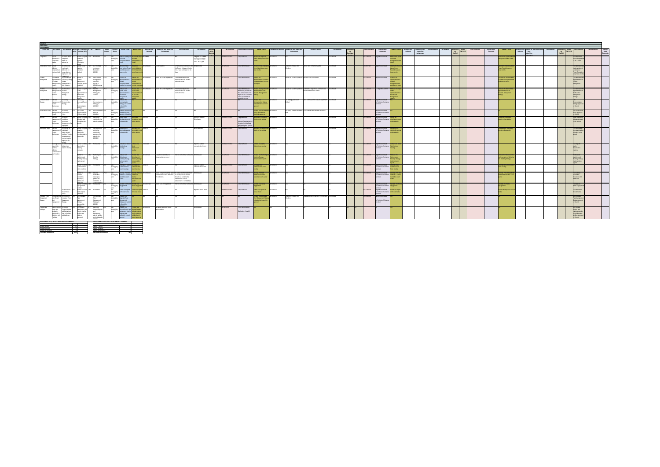| <b>CORPORATE</b>                                            |                                                                                                                                                                |                                                                                                                         |                                                                                                                         |                                                                                                      |                                                                 |                                                                                                                                     |                                                                                                                                        |                                         |                                                                            |                                                                                                                    |                                                         |                   |                                      |                                                                                                                                                     |                                                                                                                                                       |                     |                                                                    |                                                                            |                                                                                  |                     |                           |                      |                                                                                                             |                                                                                                             |                                                               |                                                                  |        |                                                                      |                                          |                                                                                    |                                            |                                                             |                                                                                                           |  |
|-------------------------------------------------------------|----------------------------------------------------------------------------------------------------------------------------------------------------------------|-------------------------------------------------------------------------------------------------------------------------|-------------------------------------------------------------------------------------------------------------------------|------------------------------------------------------------------------------------------------------|-----------------------------------------------------------------|-------------------------------------------------------------------------------------------------------------------------------------|----------------------------------------------------------------------------------------------------------------------------------------|-----------------------------------------|----------------------------------------------------------------------------|--------------------------------------------------------------------------------------------------------------------|---------------------------------------------------------|-------------------|--------------------------------------|-----------------------------------------------------------------------------------------------------------------------------------------------------|-------------------------------------------------------------------------------------------------------------------------------------------------------|---------------------|--------------------------------------------------------------------|----------------------------------------------------------------------------|----------------------------------------------------------------------------------|---------------------|---------------------------|----------------------|-------------------------------------------------------------------------------------------------------------|-------------------------------------------------------------------------------------------------------------|---------------------------------------------------------------|------------------------------------------------------------------|--------|----------------------------------------------------------------------|------------------------------------------|------------------------------------------------------------------------------------|--------------------------------------------|-------------------------------------------------------------|-----------------------------------------------------------------------------------------------------------|--|
| <b>PERFORMANCE</b><br><b>Priority Area</b>                  |                                                                                                                                                                |                                                                                                                         | $\vert$ IDP Strategy $\vert$ IDP Objective $\vert$ Objective Wey Performance KPL No: Raseline<br>ve No.   Indicator (KP |                                                                                                      | Rudget Funding<br>Amount<br>Source                              |                                                                                                                                     |                                                                                                                                        | <b>Achieved /Not</b><br><b>Achieved</b> | Reason for Non. under/Over<br>Achievement                                  | <b>Corrective Action</b>                                                                                           | POE Obtained   Mainstre                                 | aming<br>Designat | <b>PMS Comments</b>                  | Internal Audit Comments                                                                                                                             | <b>Quarter Two(2)</b>                                                                                                                                 |                     | Achieved /Not Achieved   Reason for Non. under/Over<br>Achievement |                                                                            | <b>Corrective Action</b>                                                         | <b>POE Obtained</b> | Mainstreami  <br>(Yes/No) | <b>PMS Comments</b>  | <b>Internal Audit</b><br>Comments                                                                           |                                                                                                             | Achieved /Not  <br><b>Achieved</b><br>under/Ove<br>Achievemen | Reason for Non. Corrective Action POE Obtained Mainstreami Group | Yes/No | <b>PMS Comments</b><br>$\mathsf{F}/\mathsf{M}/\mathsf{Y}/\mathsf{E}$ | <b>Internal Audit</b><br><b>Comments</b> | <b>Quarter Four(4)</b>                                                             | <b>Achieved</b><br>∣ under/C<br>Achievemen | Achieved /Not   Reason for Corrective Action   POE Obtained | Mainstreami Group<br>POFs required<br>na na<br>I F/M/Y/I<br>(Yes/No)                                      |  |
| Compliance                                                  | IEnsure<br>Tadherence t                                                                                                                                        | To ensure that all F.<br>adhered to                                                                                     | Number of reports E.1.<br>produce<br>regardir<br>compliance                                                             | No baseline<br>lOnex                                                                                 | Municip[alit                                                    | unanagement of                                                                                                                      | Produce four reports Produceone report Achieved                                                                                        |                                         |                                                                            |                                                                                                                    | I Report - ICT asset<br>management (Q<br>2021 2022).pdf |                   | Information Verified                 | Target Achieved                                                                                                                                     | produceone report on<br>\ssets manaɑement                                                                                                             | – INot Achieved     |                                                                    |                                                                            |                                                                                  | Not Achieved        |                           | Not Achieved         | Target Not Achieved                                                                                         | <b>Produceone repor</b>                                                                                     |                                                               |                                                                  |        |                                                                      |                                          | Produceone report on Assets<br>management of the Cluste                            |                                            |                                                             | Four reports on<br><b>Asset Managem</b><br>of the Cluste                                                  |  |
| Local Labour Forum Ensure                                   |                                                                                                                                                                | To conduct LLF<br>meetings to<br>employees ar                                                                           | <u>inaliers</u><br>Number of LLF<br>meetings<br>resolutions<br>finalized                                                | LLF meetings OPEX<br>resolutions<br>finalized in<br>2020/21.                                         | <b>IOwn</b><br>Municip[alit∖<br>funds                           | Implement three<br><b>IResolutions every</b><br>three months                                                                        | Ilmplement<br>ILocal Labour Forum IoneLocal Labour<br>um Resolutions<br>v three mon                                                    | Not achieved                            | COVID situation                                                            | LLF should be reconvened after Not applicable<br>first Council sitting and electio<br>of LLF reps nominated by the |                                                         |                   | Not Achieved                         | Target Not Achieved                                                                                                                                 | Implement oneLocal Labour Not Achieved<br>lForum Resolutions everv<br>three months                                                                    |                     | councillors Resess and<br>Elections                                | Will be done in the next Quarter                                           |                                                                                  | Not Achieved        |                           | Not achieved         | Target Not Achieved                                                                                         | llmplement oneLo<br>Labour Forum<br>Resolutions eve<br>three months                                         |                                                               |                                                                  |        |                                                                      |                                          | Implement oneLocal Labc<br><b>Forum Resolutions every</b><br>three months          |                                            |                                                             | Four reports on<br><b>Implementation</b><br>Local Labour<br>Forum Resolutio<br>every three more           |  |
|                                                             | )versee the<br>ementation<br>nanagement by Imanagement (                                                                                                       | <u>nanadement</u><br>To provide legal F<br>clusters'<br>their contracts                                                 | Number of<br>contract<br>management<br>loversight reports<br>produced                                                   | Four Contract<br>managemer<br>oversight<br>reports in<br>2020/21financia                             | Municiplality<br>funds                                          | Oversee the<br>limplementation of<br> contract<br>management an                                                                     | versee the<br><b>Iemeniali</b><br>produce four reports produce one repo                                                                | Not achieved                            | Due to the Covid 19 pandemic                                               | Performance target to be<br>achieved once the situation<br>returns to normal                                       |                                                         |                   | Not Achieved                         | Target Not Achieved                                                                                                                                 | Oversee the<br>limplementation of contra<br>management and prod<br>one renort -                                                                       | Not Achieved        |                                                                    | Due to the Covid 19 pandemic will done in the next Quarter                 |                                                                                  | Not Achieved        |                           | Not Achieved         | Target Not Achieved                                                                                         | Oversee the<br>mblementatic<br>management a<br>produce one rei                                              |                                                               |                                                                  |        |                                                                      |                                          | Oversee the implementati<br>of contract management a<br>produce one report         |                                            |                                                             | Four reports on<br><b>Implementation</b><br>contract<br><b>Imanagemer</b>                                 |  |
|                                                             | inagement of   Records<br>Council<br>Business                                                                                                                  | ITo implement<br>Management<br>Strategy                                                                                 | Number of reports F17.<br>implementation<br>the Records<br>Management<br>_Stratony                                      | Records<br>Management<br>Strategy for                                                                | Municip[alit <sub>)</sub><br>lfunds                             | Produce four<br>reports on the<br>implementation of<br>the Records<br>Management<br>N                                               | oduce one<br>ort on the                                                                                                                | Not achieved                            | Due to the Covid 19 pandemic Performance target to be                      | achieved once the situation<br>returns to normal                                                                   |                                                         |                   | Not Achieved                         | Target Not Achieved<br>Not reason provided for<br>Non-Achievement of the<br>target and No Corrective<br>Action provided for to<br>ramadiata the nan | roduce one report on the Not achieved<br>nplementation of the<br>IRecords Managemen                                                                   |                     |                                                                    | the situation returns to normal                                            | Due to the Covid 19 pandemic Performance target to be achieved once Not Achieved |                     |                           | Not Achieved         | Target Not Achived                                                                                          | <b>Produce one report</b><br>implementatioi<br>he Records<br>Managemer                                      |                                                               |                                                                  |        |                                                                      |                                          | Produce one report on th<br>implementation of the<br>Records Managemen             |                                            |                                                             | Four reports on t<br><b>Implementation</b><br>the Records<br>Managemer<br>Strategy                        |  |
|                                                             | management of                                                                                                                                                  | To develop<br>Strategy                                                                                                  | One Council<br>Approved Report<br>Communication<br>Strateα∖                                                             | ommunication:<br>Strategy in<br>2020/2021                                                            | Municip[ality<br>funds                                          | <b>Produce one</b><br>Communication<br>Strategy and submit.<br>to Council for                                                       |                                                                                                                                        |                                         |                                                                            |                                                                                                                    |                                                         |                   |                                      |                                                                                                                                                     | roduce one<br>Communication Strategy<br>and submit to Council fo                                                                                      | Not Achieved        | The Strategy was never                                             |                                                                            | Move commication to relevant department Not Achieved                             |                     |                           | <b>Not Achieved</b>  | Harget Not Achieved<br>No Portfolio of evidence<br>Isubmitted                                               |                                                                                                             |                                                               |                                                                  |        |                                                                      |                                          |                                                                                    |                                            |                                                             | TONE<br>Communicatio<br>Strategy appro<br>by Council                                                      |  |
| Social Media Policy Effective<br>Website                    | management of<br>Council<br>Effective To ur<br>nanagement<br>Council<br>Businesses                                                                             | To develop<br>Policy<br>To upload<br>reports and<br>Idocuments on the r                                                 | One Council<br>approved report<br>on Social Media<br>Number of reports F20<br>uploaded and<br>updated on the<br>website | No Social Media Opex<br>Policy in<br>2020/2021<br>Reports on<br>municipality t<br>website updates    | <b>IOwn</b><br>Municip[ality<br>funds<br>Municip[ality<br>funds | Produce one Social N<br>Media Policy and<br>submit to Council for<br>$\sim$<br>Upload eight<br>compliance reports<br>on the website | Upload two<br>compliance report<br>on the website                                                                                      | <b>I</b> Acieved                        |                                                                            |                                                                                                                    | Report on Website<br>iompliance                         |                   | Information Verified                 | Target Achieved<br>Although Target achieved,<br>the target is a duplicate                                                                           | Produce one Social Media Not Achieved<br>Policy and submit to<br>Council for approval<br>Upload two compliance Not Achieved<br>reports on the website |                     |                                                                    | The policy is still in the Drafted To be finalised and submited to council |                                                                                  | Not Achieved        |                           | Not Achieved         | Target Not Achieved<br>No Portfolio of evidence<br>submitted<br>Target Not Achieved Upload two<br>submitted | No Portfolio of evidence compliance reports<br>on the website                                               |                                                               |                                                                  |        |                                                                      |                                          | Upload two compliance<br>reports on the website                                    |                                            |                                                             | One Social Medi<br>Policy approve<br>by Council<br>Eight compliance<br>reports uploaded<br>on the website |  |
|                                                             | :ffective<br>Council<br>Businesses                                                                                                                             | municipality<br>To promote the<br>image through<br>posting of events,<br>campaigns an<br>commemorative<br>events on the | Number of reports F21.1<br>regarding<br>municipality<br>events upload or<br>the website                                 | Uploaded write-Opex<br>ups for the<br>municipality<br>events on the<br>website for<br>2020/2021      | <b>UWN</b><br>funds                                             | Uploaded four<br>on the website                                                                                                     | Uploaded one Achieved<br>Municip[ality   municipality events   municipality events<br>on the website                                   |                                         |                                                                            |                                                                                                                    | Media statement                                         |                   | Information Verified                 | with target raised from the<br>Municipal Manageric<br>Target Achieved                                                                               | Uploaded one municipality Not Achieved<br>events on the website                                                                                       |                     |                                                                    |                                                                            |                                                                                  | Not Achieved        |                           | Not Achieved         | Target Not Achieved Uploaded one<br>submitted                                                               | No Portfolio of evidence municipality events<br>on the website                                              |                                                               |                                                                  |        |                                                                      |                                          | Uploaded one municipality<br>events on the website                                 |                                            |                                                             | <b>Four municipality</b><br>events uplodad<br>uploaded on th<br>website                                   |  |
|                                                             | stakeholder<br>relations,<br>effective<br>Communication                                                                                                        | website.<br>stakeholders<br>relations meeting                                                                           | Stakeholders<br>meetings<br>conducted                                                                                   | Build high level To conduct media F24   Number of Media F24.1   No Baseline   Opex                   | <b>IOwn</b><br>Municip[ality<br>funds.                          | Conduct four Media C<br>Stakeholders<br> meetings                                                                                   | Conduct one www.                                                                                                                       | <b>Achieved</b>                         |                                                                            |                                                                                                                    | Report on District<br>communication Forum               |                   | Information Verified                 | Target Achieved                                                                                                                                     | Conduct one Media<br><b>IStakeholders meeting</b>                                                                                                     | Not Achieved        |                                                                    |                                                                            |                                                                                  |                     |                           | Not Achieved         | No Portfolio of evidence Stakeholder<br>submitted                                                           | Target Not Achieved Conduct one Media                                                                       |                                                               |                                                                  |        |                                                                      |                                          |                                                                                    |                                            |                                                             | Four Reports<br>Media<br>Stakeholde<br>meeting                                                            |  |
|                                                             | nd Drandina                                                                                                                                                    |                                                                                                                         | the control of the control of the control of<br>Number of<br>Marketing and<br><b>Branding Strategy</b><br>Implemented.  | Marketing and Opex<br>Branding<br>Strategy                                                           | Municip[ality<br>funds                                          | Produce four<br>Marketing and<br><b>Branding Strategy</b><br><b>Implementation</b>                                                  | <b>Produce one</b>                                                                                                                     | Not Achived                             | It was not Achived due to<br>departmental movement                         | It will be done in the next Quarter Not Achieved                                                                   |                                                         |                   | Not Achieved                         | Target Not Achieved                                                                                                                                 | Produce one Marketing and Not Achieved<br>Branding Strategy<br>implementation reports                                                                 |                     |                                                                    |                                                                            |                                                                                  |                     |                           | Not Achieved         | Target Not Achieved Produce one<br>No Portfolio of evidence Marketing and<br>submitted                      | <b>Branding Strate</b><br>implementatioi                                                                    |                                                               |                                                                  |        |                                                                      |                                          | Produce four reports on the<br>implementation of Marketin<br>and Branding Strategy |                                            |                                                             | Produce one<br>Marketing and<br>Branding Strate<br>implementatio<br>reports                               |  |
|                                                             |                                                                                                                                                                |                                                                                                                         | Number of District F24.3<br>Communications<br>forum meetimgs<br>Number of                                               | No baseline Oepx<br>F24.4 External                                                                   | Municip[ality<br>funds                                          | Cordinate 11 District<br>Communications                                                                                             | dinate one<br>Forum meetings   forum meeting<br>Develop, Print and Develop, Print and Not achieved                                     | <b>B</b> Achieved                       |                                                                            | Due to budget constraints, lack of An online external newsletter to Not Achieved                                   | Report on District<br>communication Forum               |                   | Information Verified<br>Not Achieved | Target Achieved                                                                                                                                     | Cordinate three<br>Communication forum                                                                                                                | Not Achieved        |                                                                    |                                                                            |                                                                                  |                     |                           | Not Achieved         | Target Not Achieved cordinate three<br>No Portfolio of evidence<br>submitted                                | <b>ICommunicatio</b><br>forum meeting                                                                       |                                                               |                                                                  |        |                                                                      |                                          | Cordinate twoCommunication<br>forum meeting                                        |                                            |                                                             |                                                                                                           |  |
|                                                             |                                                                                                                                                                |                                                                                                                         | External<br>newsletters<br>developed,<br>printed and<br>كالمغانيات والمستقام                                            | newsletters<br>developed<br>printed and<br>distributed in                                            | l Own<br><b>Ifunds</b>                                          | Municip[ality Distribute 1 External Distribute 1<br>newsletters ead<br>quarter                                                      | /sletters ea                                                                                                                           |                                         | personnel/resources and Covid   be developed and shared<br>19 restrictions | through our social media<br>platforms and various<br>stakeholders in our database.                                 |                                                         |                   |                                      | Target Not Achieved                                                                                                                                 | Develop, Print and<br>Distribute 1 External<br>newsletters each quarter                                                                               | <b>Not Achieved</b> |                                                                    |                                                                            |                                                                                  |                     |                           | Not Achieved         | submitted                                                                                                   | Target Not Achieved Develop, Print and<br>No Portfolio of evidence Distribute 1 External<br>newsletters ead |                                                               |                                                                  |        |                                                                      |                                          | Develop, Print and Distribute<br>1 External newsletters each                       |                                            |                                                             | Four external<br>newsletters<br> developed an<br>distributed                                              |  |
|                                                             |                                                                                                                                                                | To impelement                                                                                                           | Number of media   F.<br>engagements<br>facilitated<br>Number of Social F                                                | No Baseline<br><b>Opex</b><br>no baseline<br>Opex                                                    | Municiplality<br>lown                                           | engagements<br>Submit four reports S                                                                                                | Facilitate four media Facilitate one Not Achieved<br>uia engage<br>lSubmit one report lAchieved                                        |                                         | Due to Covi-19 Regulations                                                 | It will be done in the next Quarter Not Achieved                                                                   | Report on Social Media                                  |                   | Not Achieved<br>Information Verified | Target Not Achieved<br>Target Achieved                                                                                                              | Facilitate one media<br>ngagemen<br>Submit one report on Not Achieved                                                                                 | Not Achieved        |                                                                    |                                                                            |                                                                                  |                     |                           | <b>INot Achieved</b> | No Portfolio of evidence engagement<br>omitted                                                              | Target Not Achieved   Facilitate one media<br>Target Not Achieved Submit one report                         |                                                               |                                                                  |        |                                                                      |                                          | Facilitate one media<br>engagement<br>Submit one report on Socual                  |                                            |                                                             | Facilitate one<br>media engageme<br>Four reports on                                                       |  |
| Integrated Fleet   Ensure effective To implement            | and efficient                                                                                                                                                  | Social Media                                                                                                            | Media reports<br>submitted<br>One Integrated                                                                            | No Integrated Opex                                                                                   | Municip <sub>[ality</sub><br>funds<br>l Own                     | Produce one                                                                                                                         | on Socual media lon Socual media                                                                                                       |                                         |                                                                            |                                                                                                                    |                                                         | ______            |                                      |                                                                                                                                                     | Socual media<br><b>Produce one Integrated</b> Not Achieved                                                                                            |                     | councillors Resess and                                             |                                                                            | Re-establishment of section 79 committees Not Achieved                           |                     |                           | Not Achieved         | No Portfolio of evidence on Socual media<br>submitted<br>Target Not Achieved                                |                                                                                                             |                                                               |                                                                  |        |                                                                      |                                          |                                                                                    |                                            |                                                             | Socual media<br>One Integrated                                                                            |  |
| Management<br>Strategy                                      | management                                                                                                                                                     | Management<br>Strategy                                                                                                  | Fleet<br>Management<br>Strategy<br>approved by                                                                          | Fleet<br>Management<br>Strategy in<br>2020/21                                                        | Municip[ality<br>funds                                          | Integrated Fleet<br>Management<br>Strategy and submit<br>to Council for<br><u>annioval</u>                                          |                                                                                                                                        |                                         |                                                                            |                                                                                                                    |                                                         |                   |                                      |                                                                                                                                                     | <b>Fleet Management Strateg</b><br>and submit to Council for<br>approval                                                                              |                     | Elections                                                          |                                                                            |                                                                                  |                     |                           |                      | No Portfolio of Evidence                                                                                    |                                                                                                             |                                                               |                                                                  |        |                                                                      |                                          |                                                                                    |                                            |                                                             | Fleet Managem<br>Strategyapprov<br>by Council                                                             |  |
| Facilities and<br>buildings                                 | Improve Council To develop<br>image and<br>image and<br>access to<br>Municipality's<br>plan for facilities<br>Buildings and and buildings<br><b>Facilities</b> |                                                                                                                         | Council<br>One General<br>Maintenance and<br>Repairs plan for<br>facilities and<br>buildings<br>approved                | Approved<br><b>Opex</b><br>General Repairs<br>Maintenance<br>plan for facilities<br>and buildings fo | <b>IOwn</b><br>Municip <sub>[ality</sub><br>funds               | Produce one<br>buildings and<br>facilities for council and facilities for<br>lapproval                                              | Produce one   <br>General Repairs and General Repairs<br>maintenance plan for and maintenance<br>Iplan for buildin<br>council approval | Not Acieved                             | Not tabled at council yet but<br>report availble                           |                                                                                                                    | Not Achieved                                            |                   | Not Achieved                         | Target Not Achieved<br>Duplication of row 22                                                                                                        |                                                                                                                                                       |                     |                                                                    |                                                                            |                                                                                  |                     |                           |                      |                                                                                                             |                                                                                                             |                                                               |                                                                  |        |                                                                      |                                          |                                                                                    |                                            |                                                             | One General<br>Repairs and<br>maintenance pl<br>for buildings and<br>facilities approv<br>by Council      |  |
| ASSESSMENT OF Q1 2021/22 PERFORMANCE SUMMARY                |                                                                                                                                                                |                                                                                                                         |                                                                                                                         | ASSESSMENT OF Q1 2021/22 PERFORMANCE SUMMARY                                                         |                                                                 |                                                                                                                                     |                                                                                                                                        |                                         |                                                                            |                                                                                                                    |                                                         |                   |                                      |                                                                                                                                                     |                                                                                                                                                       |                     |                                                                    |                                                                            |                                                                                  |                     |                           |                      |                                                                                                             |                                                                                                             |                                                               |                                                                  |        |                                                                      |                                          |                                                                                    |                                            |                                                             |                                                                                                           |  |
| Targets Planned<br>Targets Achieved<br>Targets Not Achieved |                                                                                                                                                                |                                                                                                                         |                                                                                                                         | Targets Planned<br><b>Targets Achieved</b><br><b>Targets Not Achieved</b>                            |                                                                 |                                                                                                                                     |                                                                                                                                        |                                         |                                                                            |                                                                                                                    |                                                         |                   |                                      |                                                                                                                                                     |                                                                                                                                                       |                     |                                                                    |                                                                            |                                                                                  |                     |                           |                      |                                                                                                             |                                                                                                             |                                                               |                                                                  |        |                                                                      |                                          |                                                                                    |                                            |                                                             |                                                                                                           |  |
| Percentage Achievement                                      |                                                                                                                                                                |                                                                                                                         |                                                                                                                         | <b>Percentage Achievement</b>                                                                        |                                                                 |                                                                                                                                     |                                                                                                                                        |                                         |                                                                            |                                                                                                                    |                                                         |                   |                                      |                                                                                                                                                     |                                                                                                                                                       |                     |                                                                    |                                                                            |                                                                                  |                     |                           |                      |                                                                                                             |                                                                                                             |                                                               |                                                                  |        |                                                                      |                                          |                                                                                    |                                            |                                                             |                                                                                                           |  |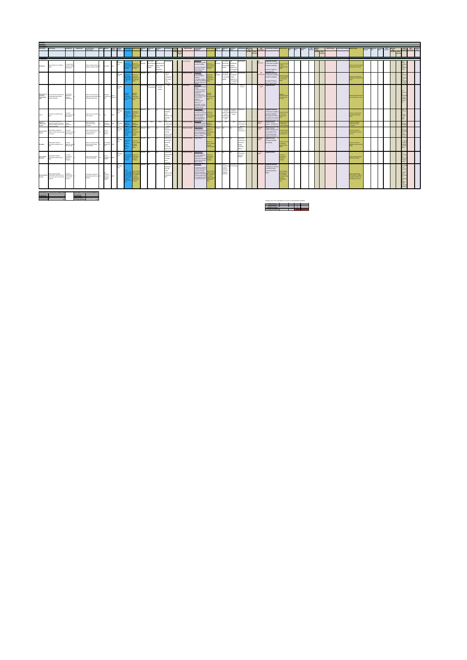| SEDIBENG<br>TRANSPORT                                  |                                                                                                                                         |                                                                |                      |                                                                                            |                                                     |                                      |                                                              |                                                                                                                               |                                             |                                                                                                                              |                                                                                              |                         |                      |                                                                                                                                                                                                                                                                                                                                                                                              |                                                                                    |                       |                                                                                                                                                                                     |                                                                                 |                 |                         |                                                                                                                                                                                          |                                                                                                                                     |                      |                        |                               |                     |                                         |                                                                                                                   |                                             |  |                                |                                                                                                                                                                 |                                                     |
|--------------------------------------------------------|-----------------------------------------------------------------------------------------------------------------------------------------|----------------------------------------------------------------|----------------------|--------------------------------------------------------------------------------------------|-----------------------------------------------------|--------------------------------------|--------------------------------------------------------------|-------------------------------------------------------------------------------------------------------------------------------|---------------------------------------------|------------------------------------------------------------------------------------------------------------------------------|----------------------------------------------------------------------------------------------|-------------------------|----------------------|----------------------------------------------------------------------------------------------------------------------------------------------------------------------------------------------------------------------------------------------------------------------------------------------------------------------------------------------------------------------------------------------|------------------------------------------------------------------------------------|-----------------------|-------------------------------------------------------------------------------------------------------------------------------------------------------------------------------------|---------------------------------------------------------------------------------|-----------------|-------------------------|------------------------------------------------------------------------------------------------------------------------------------------------------------------------------------------|-------------------------------------------------------------------------------------------------------------------------------------|----------------------|------------------------|-------------------------------|---------------------|-----------------------------------------|-------------------------------------------------------------------------------------------------------------------|---------------------------------------------|--|--------------------------------|-----------------------------------------------------------------------------------------------------------------------------------------------------------------|-----------------------------------------------------|
| <b>PERFORMANCE</b><br>Priority Area                    | Strategy                                                                                                                                | <b>IDP Objective</b>                                           | <b>Objective No.</b> | ey Performance<br>Indicator (KPI)                                                          |                                                     | Amount Source                        |                                                              | Quarter One(1) Achieved                                                                                                       | Reason for                                  | Corrective                                                                                                                   | <b>POE Obtained   Mainstre  </b>                                                             | aming<br>(Yes/No) Group | <b>PMS Comments</b>  | Internal Audit                                                                                                                                                                                                                                                                                                                                                                               | Quarter Two(2)                                                                     | <b>Achieved</b>       | Corrective                                                                                                                                                                          | <b>POE Obtained   Mainstrea</b>                                                 | ming<br>Yes/No) | <b>PMS</b><br>Comment   | Internal Audit Comments                                                                                                                                                                  | Quarter Three(3) Achieved                                                                                                           | $\sqrt{\frac{1}{N}}$ | Reason for  Corrective | POE Mainstre<br>(Yes/No) Grou | <b>PMS Comments</b> | Internal Audit Comments Quarter Four(4) |                                                                                                                   | Achieved /Not Reason for<br><b>Achieved</b> |  | Mainstre<br>Action<br>Obtained | <b>POES</b><br>ming<br>(Yes/No) Group                                                                                                                           | <b>PMS</b><br>Interna<br>Audit<br>required Comments |
|                                                        |                                                                                                                                         |                                                                |                      |                                                                                            |                                                     |                                      |                                                              |                                                                                                                               |                                             |                                                                                                                              |                                                                                              | IF/M/                   |                      |                                                                                                                                                                                                                                                                                                                                                                                              |                                                                                    |                       |                                                                                                                                                                                     |                                                                                 |                 |                         |                                                                                                                                                                                          |                                                                                                                                     |                      |                        | F/M/Y/E/                      |                     |                                         |                                                                                                                   |                                             |  |                                | <b>F/M/Y/E/D</b>                                                                                                                                                |                                                     |
| (PA 4: B/<br>  TRANSPORT                               |                                                                                                                                         |                                                                |                      |                                                                                            |                                                     |                                      |                                                              |                                                                                                                               |                                             |                                                                                                                              |                                                                                              |                         |                      |                                                                                                                                                                                                                                                                                                                                                                                              |                                                                                    |                       |                                                                                                                                                                                     |                                                                                 |                 |                         |                                                                                                                                                                                          |                                                                                                                                     |                      |                        |                               |                     |                                         |                                                                                                                   |                                             |  |                                |                                                                                                                                                                 |                                                     |
| Compliance                                             | Ensure adherence to compliance<br>matters                                                                                               | To ensure that all<br>compliance matter<br>are adhered to      |                      | Number of reports produced<br>regarding compliance matters                                 | No baseline<br><b>TUDEX</b>                         | Municipality                         | luce four l<br>agement o<br>Cluster                          | <b>Produce one</b> achieved<br><b>Ports on Assets report on Assets</b><br>  management<br>he Cluster                          | register                                    | The cluster The<br>Idid not have its I development<br>own assets   assets register<br>so as to<br>manage the<br>ccatc at the | Not Achieved                                                                                 |                         | Not Achieved         | Not Achieved<br>1) There was no portfolio<br>of evidence submitted<br>2) The Key Performance<br>Indicator (KPI) is NO<br><b>Clearly articulated</b>                                                                                                                                                                                                                                          | Produce one<br>report on Asse                                                      |                       | The cluster<br>achieved did not have development<br>lits own assets of assets<br>register<br>register so a<br>to manage the                                                         | Not Achieved                                                                    |                 | Not<br>Achieved         | <b>Target Not Achieved</b><br>There was no portfolio<br><b>lof</b> evidence submitted.<br>2) Lack of insight into<br>at naade to h                                                       | Produce one repoi<br>manaqement oʻ                                                                                                  |                      |                        |                               |                     |                                         | <b>Produce one report on Assets</b><br>management of the Cluster                                                  |                                             |  |                                | Four<br><b>I</b> reports<br><b> regardin</b><br><b>lasset</b><br><b>Complianc</b><br><b>I</b> matters                                                           |                                                     |
|                                                        |                                                                                                                                         |                                                                |                      |                                                                                            |                                                     | I Own<br>Municipality                | orts on the<br>racts of the                                  | duce four   Produce one<br><b>Preport on the</b><br>agement of Imanagement<br><b>Contracts of the</b>                         | Achieved<br>INI/A                           |                                                                                                                              | Report on<br>contract<br>management<br>of the cluster<br>(July to<br><b>I</b> September      |                         | Information Verified | Not Achieved<br>1) The Portfolio o<br>Evidence submitted i<br>inadequate<br>- The quality of evidence<br>$\sqrt{\frac{1}{1}}$ provided is not sufficient as $\sqrt{\frac{1}{1}}$<br>some of the details are not<br><u>reananie –</u>                                                                                                                                                         | Produce one<br>eport on the<br>contracts of the                                    |                       | The cluster<br>achieved did not have developmer<br>lits own assets of assets<br>register<br>register so a<br>to manage the<br>lassets of the                                        | Not Achieved                                                                    |                 | Not<br>Achiever         | <b>Target Not Achieved</b><br>) There was no portfolic<br>of evidence submitted.<br>) Target of " Produce<br>One (1) report on the                                                       | 'roduce one repor<br>n the managemer<br>contracts of the                                                                            |                      |                        |                               |                     |                                         | <b>Produce one report on the</b><br>management of contracts of the                                                |                                             |  |                                | <b>Ireports of</b><br><b>I</b> managem<br>contracts of<br>the Cluster                                                                                           |                                                     |
| Development of<br>Integrated<br> Transport Plan<br>(1) | Plan and develop accessible, safe<br>and affordable public transpor<br>systems and facilities.                                          | o promote to<br>implement the<br>Integrated<br>Transport Plan  |                      | Number of reports produced<br>regarding the implementation<br>of integrated transport plan | Integrated<br><b>Transport Plar</b>                 | IO.wn<br>Municipality<br>Transport   | grated<br>sport plan                                         | <b>Statement</b> Implement<br>lintegrated<br><b>Itansport plan</b><br>produce four and produce o<br><b>Preport</b>            | Not achieved Due to covid - will be done in | I9 regulations<br>the next<br>Quarter                                                                                        | N/A                                                                                          |                         | Not Achieved         | Not Achieved<br>1) No Portfolio of evidence<br>submitted<br>(2) Reasons provided for<br>non-achievement of the<br><b>a</b> target was not<br>corroborative i.e. the<br>reasons stipulated refers to <b>transport plar</b><br>due to Covid 19<br>regulations.<br>3) The "Corrective<br>Actions" is not<br>corroborative - as it only<br>state that the target will be<br>executed in the next | integrated<br>produce one                                                          | achieved              |                                                                                                                                                                                     | Report on<br>Transport                                                          |                 | Information<br>Verified | Target Achieved                                                                                                                                                                          | Implement<br>integrated transpo<br>plan and produce<br>one report                                                                   |                      |                        |                               |                     |                                         | Implement integrated transpo<br>plan and produce one repor                                                        |                                             |  |                                | reports on<br><b>Implemental</b><br>ion of an<br>lintegrated<br><b>transpor</b>                                                                                 |                                                     |
| Airport                                                | To monitor the operations of the<br>rairbo                                                                                              | o provide l<br>airport services to<br>the customers            |                      | Number of service provided<br>to the customers                                             |                                                     | Own<br>Municipality                  | orts on the l<br>/ided by the                                | duce four   Produce one<br><b>I</b> report on the<br>provided by the                                                          | Achieved                                    | IN/A                                                                                                                         | Vereeniging<br>Operations<br>report<br>attached - Jul<br>September                           |                         | Information Verified | Target Achieved<br>The target of "Produce<br>one report on the services Produce one<br>provided by the airport" is<br>NOT in line with the<br>S.M.A.R.T principles. It<br>does not stipulate what                                                                                                                                                                                            | <b>Services provide</b><br>by the airport                                          |                       | Not achieved The fuel plant Funds to be Not Achieved<br>allocated to<br>has been<br>suspended du<br>referbished t<br>Airport<br>to none<br>compliance wit<br>the regulatory<br>body |                                                                                 |                 | Not Achieved            | <b>Target Not Achieved</b><br>) There was no portfolio <sub>I</sub><br>of evidence submitted.<br>2) The target of "Produce"<br>one report on the services<br>provided by the airport" is | Produce one report<br>on the services a<br>uded by the                                                                              |                      |                        |                               |                     |                                         | Produce one report on the<br>services provided by the                                                             |                                             |  |                                | Four<br>reports on                                                                                                                                              |                                                     |
| Regional<br>Infrastructure<br><b>Projects</b>          | lan for effective, efficient and<br>ustainable infrastructural projects,<br>water and sanitation services, and                          | To coordinate<br>infrastructure                                |                      | Number of Regional<br>Infrastructure Projects<br>coordinated                               | Bi-annual<br>reports per<br>I∩PF⊁<br>projects were  | <b>Own</b><br>Municipality<br>Itunds | orts on<br>ıstructure                                        | duce four Produce one<br><b>I</b> report on<br><i>infrastructure</i>                                                          | Achieved                                    | N/A<br>N/A                                                                                                                   | Report on the<br>  monitoring c                                                              |                         | Information Verified | <u>services should he </u><br>Not Achieved<br>1) Although the Portfolio of r<br>Evidence report indicates                                                                                                                                                                                                                                                                                    | oduce one :                                                                        | Achieved              | N/A<br>N/A                                                                                                                                                                          | Report on the<br>monitoring o<br>regional                                       |                 | Information<br>Verified | arget Achieved<br>however, 2) Portfolio of<br>'Evidence report indicate                                                                                                                  | 'roduce one repor<br>infrastructure<br><b>Jects coordinat</b>                                                                       |                      |                        |                               |                     |                                         | Produce one report on<br>infrastructure projects<br>ordinated                                                     |                                             |  |                                | rour.<br>reports on<br>infrastructur                                                                                                                            |                                                     |
| <b>License Service</b><br><b>Centres</b>               | vision of electricity<br>Render effective, efficient and<br>customer oriented licensing services   licensing services  <br>n the region | o provide<br>to the customers                                  |                      | Number of reports produced<br>on the implementation of<br>Licensing Services.              | abled to cou<br>Four $(4)$<br>reports in<br>2019/20 | IOwn<br>Municipality<br>lfunds –     | duce four __<br>pr <b>ts</b> on<br>vices                     | <b>Produce one</b><br><b>I</b> report on<br>plementation of implementation<br> Licensing<br><b>IServices</b>                  | Achieved                                    |                                                                                                                              | regional<br>report on<br>rendering o<br>licensing<br>Services (July<br>to September          |                         | Information Verified | hat the infractructure<br>Target Achieved<br>1) Although the PoE<br>provided makes reference<br>to the services offered by<br>the four (4) SDM licensing<br>centres on behalf of<br>utong Dont of D                                                                                                                                                                                          | 'roduce one<br>ervices l                                                           | Achieved              |                                                                                                                                                                                     | report on<br>rendering of<br>licensing service                                  |                 | Information<br>Verified | Target Achieved<br>Portfolio of Evidence the<br>report number $6,7,8,9$<br>comments from other<br>clusters as indicated is                                                               | Produce one report<br>n implementation<br>censing Service                                                                           |                      |                        |                               |                     |                                         | <b>Produce one report on</b><br>implementation of Licensing                                                       |                                             |  |                                | e projects<br><b>IFour</b><br>reports on<br>Implemental<br>Licensing<br>Services                                                                                |                                                     |
| <b>Air Quality</b>                                     | Implementation of effective<br>environment management in the<br>reaion                                                                  | o monitor<br>ambient air quality<br>within the region          |                      | Number of reports produced<br>on the Ambient Air Quality<br>monitoring station             | No Air Quality<br>IManagement<br><b>IOPFX</b>       | IOwn<br>Municipality                 |                                                              | roduce one '<br>eport on Ambie<br>Quality<br><b>I</b> stations                                                                | Achieved                                    |                                                                                                                              | report of the<br>monitoring o<br>Ambient Air<br>monitoring<br>stations (July<br>to September |                         | Information Verified | Target Achieved                                                                                                                                                                                                                                                                                                                                                                              | Produce one<br><b>report on Ambie</b><br><b>Air Quality</b><br>monitoring stations | Achieved              |                                                                                                                                                                                     | report of the<br>monitoring of<br><b>Ambient Air</b><br>monitoring<br>stations. |                 | Information<br>Verified | <b>Target Achieved,</b><br>POE report not dated<br>upon signing                                                                                                                          | Produce one report<br>on Ambient Air<br>Quality monitoring                                                                          |                      |                        |                               |                     |                                         | <b>Produce one report on</b><br>Ambient Air Quality monitorin                                                     |                                             |  |                                | four reports<br>on Ambient<br><b>Air Quality</b><br><i>I</i> monitoring<br>stations                                                                             |                                                     |
| Environmental<br>Awareness                             | Implementation of effective<br>environment management in the<br>Tregior                                                                 | o conduct<br>environmental<br>awareness<br>campaigns           |                      | Number of Environmental<br><b>Awareness Campaigns</b>                                      | IFour (4)<br>Campaigns on OPEX<br>2019/20           | Own<br>Municipality<br>funds         | ronmental<br>areness<br>npaigns                              | iduct Four (4) [Conduct one ]<br><b>I</b> Environmental<br><b>Awareness</b><br>Campaign                                       | Achieved                                    | IN/A                                                                                                                         | report on the<br>environmental<br>awareness<br>campaign (<br>July to<br>September            |                         | Information Verified | Target Achieved<br>Although the target is<br>achieved in that the PoE<br>was provided, the<br>effectiveness of conducting Awareness<br>the awareness campaign<br>VS. the evidence<br>observed (in reality)                                                                                                                                                                                   | onduct one<br>/ironmental                                                          | Achieved              | - IN/A                                                                                                                                                                              | report on the<br>environmental<br>awareness<br>campaign                         |                 | Information<br>Verified | arget Achieved,                                                                                                                                                                          | Conduct one<br>Environmenta<br>awareness<br>Campaign                                                                                |                      |                        |                               |                     |                                         | <b>I</b> Environme<br>Conduct one Environmental<br>Awareness Campaign<br><b>HAwareness</b><br>Campaign<br>reports |                                             |  |                                |                                                                                                                                                                 |                                                     |
| Municipal Health<br>Services                           | Ensure a safe and healthy<br>environment for people to live and<br>work in and reduce environmental<br>health risk                      | o provide<br>municipal health<br>services within<br>the region |                      | Percentage of compliance to<br>Municipal Health Norms and<br>Standards                     | Compliance<br>Achieved in<br>2019/2020<br>(2020/21  | Own<br>Municipality<br>lfunds        | vices at 5<br>ipliance wr<br>onal Hea<br>ms and<br>າdards ai | Render Munici<br><b>Heath Services</b><br>0% compliano<br>with National<br><b>Health Norms</b><br>and Standards<br>and report | Achieved                                    | IN/A                                                                                                                         | report on the<br>rendering o<br>Municipal<br>Health<br>Services (Ju<br>to September<br>2021) | __                      | Report on MHS        | <b>Not Achieved</b><br>1) Performance indicator if<br>or MHS is not time bound<br>as required by FMPPI.<br>2) The Key Performance $\left  \cdot \right $<br>Indicator is not measurable 50% compliance<br>as such the PoE provided with National<br>for in indicating the overall Health Norms and<br>1% achieved for quarter 1. Standards and                                               | <b>Render Municipa</b><br><b>Heath Services</b>                                    | Not achieved National | will be done on Not Achieved<br>[Department and the fourth Quarter]<br>Provincial<br>Department<br>they havent<br>Audited the<br>performance                                        |                                                                                 |                 | Not Achieved            | <b>Target Not Achieved</b><br>1) Performance indicator<br>lif or MHS is not time<br>bound as required by<br><b>FMPPI.</b>                                                                | <b>Render Municipal</b><br><b>Heath Services at</b><br>50% compliance<br>with National Heal<br>Norms and<br>Standards and<br>enort: |                      |                        |                               |                     |                                         | Render Municipal Heath<br>Services at 50% compliance<br>with National Health Norms<br>and Standards and report    |                                             |  |                                | tour reports  <br>on the<br><b>I</b> rendering<br>Municipal<br>Heath<br>Services at<br>50%<br><b>Compliance</b><br>National<br>Health<br>Norms and<br>Standards |                                                     |

INTERNAL AUDIT UNIT: ASSESSMENT OF Q2 2021/22 PERFORMANCE SUMMARY

|                           | ASSESSMENT OF Q1 2021/22 PERFORMANCE SUMM |                              | ASSESSMENT OF Q2 2021/22 PERFORMANCE SUI |
|---------------------------|-------------------------------------------|------------------------------|------------------------------------------|
|                           |                                           |                              |                                          |
| Targets Planned           |                                           | Targets Planned              |                                          |
| Targets Achieved          |                                           | Targets Achieved             |                                          |
| Targets Not Achieved      |                                           | Targets Not Achieved         |                                          |
| <b>Percentage Achievi</b> | 44%                                       | <b>Percentage Achievemen</b> | 56%                                      |

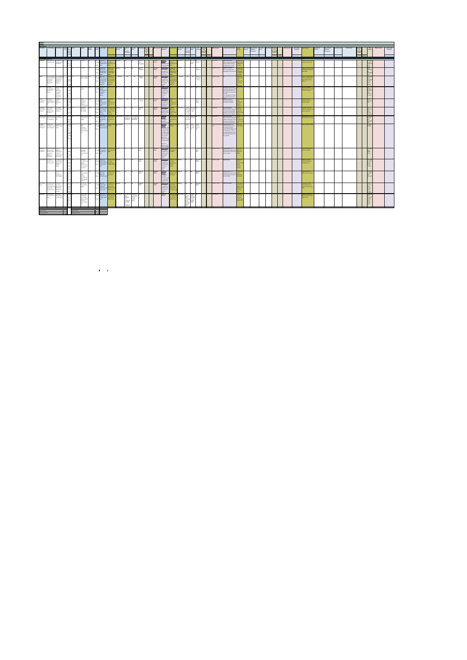| <b>SEDIBEN</b><br>DISTRICT<br>STRATEGIC<br><b>PERFORMA</b>                                    |                                                                                                 |                                                                                                                                                                    |                                                                          |                                                                                                                                       |                                                           |                                                                                                                                                                                                        |                                                                                                  |                                 |                                                                                                                                                            |                                                                       |                                                                                                                        |                                     |                                                                                                                                                                                                                                                                                                              |                                     |                                                                                                                                                 |                                                 |                                             |                                       |                                                                                                                                                                                                                                                                                            |                                                                                        |                                                                               |            |                                                                  |       |                     |                                   |                                                                                                                                       |                           |                                             |                 |                     |                                             |                                                                                                                     |                     |                                          |
|-----------------------------------------------------------------------------------------------|-------------------------------------------------------------------------------------------------|--------------------------------------------------------------------------------------------------------------------------------------------------------------------|--------------------------------------------------------------------------|---------------------------------------------------------------------------------------------------------------------------------------|-----------------------------------------------------------|--------------------------------------------------------------------------------------------------------------------------------------------------------------------------------------------------------|--------------------------------------------------------------------------------------------------|---------------------------------|------------------------------------------------------------------------------------------------------------------------------------------------------------|-----------------------------------------------------------------------|------------------------------------------------------------------------------------------------------------------------|-------------------------------------|--------------------------------------------------------------------------------------------------------------------------------------------------------------------------------------------------------------------------------------------------------------------------------------------------------------|-------------------------------------|-------------------------------------------------------------------------------------------------------------------------------------------------|-------------------------------------------------|---------------------------------------------|---------------------------------------|--------------------------------------------------------------------------------------------------------------------------------------------------------------------------------------------------------------------------------------------------------------------------------------------|----------------------------------------------------------------------------------------|-------------------------------------------------------------------------------|------------|------------------------------------------------------------------|-------|---------------------|-----------------------------------|---------------------------------------------------------------------------------------------------------------------------------------|---------------------------|---------------------------------------------|-----------------|---------------------|---------------------------------------------|---------------------------------------------------------------------------------------------------------------------|---------------------|------------------------------------------|
| <b>Priority Area</b>                                                                          |                                                                                                 | IDP Strategy   IDP Objective   Objectiv                                                                                                                            | e No. Perfor<br><b>Imance</b>                                            | <b>IAmount</b>                                                                                                                        | <b>Source</b>                                             |                                                                                                                                                                                                        |                                                                                                  | Achieved<br>Tunder/Vy           | orrective<br><b>IActio</b><br>Achievemer                                                                                                                   |                                                                       | ined   Mainstre<br>aming<br> Designat<br>ed                                                                            | <b>PMS Comments Imternal Audit</b>  | <b>Comments</b>                                                                                                                                                                                                                                                                                              | Achieved                            | -INon.<br>under/Ove                                                                                                                             | Obtained                                        | Mainstrea<br>ming<br> Designate<br>(Yes/No) | <b>PMS Comments</b>                   | <b>Internal Audit Comments</b>                                                                                                                                                                                                                                                             | Three(3)                                                                               | Achieved /Not Reason for Non,<br>under/Over<br><b>Achieved</b><br>Achievement | Corrective | <b>POE Obtained   Mainstrea</b><br>ming<br>Designate<br>(Yes/No) |       | <b>PMS Comments</b> | <b>Internal Audit</b><br>Comments | <b>Quarter Four(4)</b>                                                                                                                | Achieved /Not<br>Achieved | Reason for Non,<br>under/Ove<br>Achievement | rrective Action | <b>POE Obtained</b> | Mainstrea<br>ming<br>Designated<br>(Yes/No) | <b>POEs</b><br>required                                                                                             | <b>PMS Comments</b> | <b>Internal Audit</b><br><b>Comments</b> |
|                                                                                               |                                                                                                 |                                                                                                                                                                    | lor (KPI).                                                               |                                                                                                                                       |                                                           |                                                                                                                                                                                                        |                                                                                                  |                                 |                                                                                                                                                            |                                                                       | $\begin{array}{ c c c }\n\hline\n\text{(Yes/No)} & \text{Group}\n\end{array}$                                          |                                     |                                                                                                                                                                                                                                                                                                              |                                     |                                                                                                                                                 |                                                 | (Yes/No) Group                              |                                       |                                                                                                                                                                                                                                                                                            |                                                                                        |                                                                               |            | (Yes/No)                                                         | Group |                     |                                   |                                                                                                                                       |                           |                                             |                 |                     | (Yes/No) Group                              |                                                                                                                     |                     |                                          |
| Compliance                                                                                    | D DEVELOPMENT PLAN (IDP)                                                                        | Ensure adherence to $\sqrt{7}$ ro ensure that all $\sqrt{H}$ .<br>compliance matters compliance matter<br>are adhered to                                           | Number H1.1<br>i reports                                                 | No baseline<br>No baseline                                                                                                            | Own<br>Own                                                | Produce four<br>Municipal reports on Assets on<br>nanadement of the Timanadement of ti<br><b>Produce four</b><br>Municipal Treports on the<br>i manadement (<br>contracts of the l                     | roduce one report Achieved<br>ı Assets -<br>oduce one<br>contracts of                            | Achieved                        |                                                                                                                                                            | Report on<br>Assert<br><b>I</b> management<br>Report on<br>Compliance | Information<br>Verified<br>Information<br>Verified                                                                     |                                     | Target Not<br>Achieved<br>Although the Report   management of t<br>on Asset has been<br>by ided for the<br>Target Achieved<br>1) The Quality,<br>renort on the<br>presentation and<br><b>Imanagement</b><br>submission of the<br>Icontracts of th                                                            | <b>Produce one</b> Achieved         | pduce one report Not Achieved   No offices   will be done Not<br><b>Quarter</b>                                                                 | in the next achieved<br>Report on<br>Compliance |                                             | Not achieved<br>Information v erified | Target Not Achieved,<br>Target is said to be achieved and report on Asse<br>has been verified as per PMS<br>comments how ever, no PoE<br>vided for audit verification<br>Target not Achieved<br>1) No Poe provided for "The<br>implementation of the GDS III" KPI manageme                 | Produce one<br><b>The Cluster</b><br>duce on<br>าดrt on th<br>ontracts:                |                                                                               |            |                                                                  |       |                     |                                   | oduce one report on Ass<br><b>I</b> management of the Cluster<br>Produce one report on t<br>management of contracts<br>of the Cluster |                           |                                             |                 |                     |                                             | <b>Four reports</b><br>on Assets<br>Imanagem<br>$\mathsf{t}$ of the<br>Cluster<br> Four<br>Treports of<br>  managem |                     |                                          |
| <b>GDS III</b>                                                                                | Ensure coordination<br>of Grow th and<br>Dev elopment<br>Strategy (GDS                          | To co-ordinate the H2<br>of the implementation limplementation of<br>the Growth and<br>dev elopment<br>strategy ll                                                 | INumber IH2.<br>progress <b>i</b>                                        | 2020/21 Progress   O<br>reports on GDS III                                                                                            |                                                           | <b>Cluster</b><br>Produce four<br>Municipal progress reports on progress report of<br>the implementation the implementation<br>of the Grow th and of the Grow th and<br>Dev elopment<br>Strategy III   | oduce one<br>TDev elopment<br><b>IStrategy III</b>                                               | Achieved                        | N/A<br>N/A                                                                                                                                                 | Report on<br>GDS3                                                     | Information<br>Verified                                                                                                | improved.                           | PoE should be<br>Target Achieved<br>Produce one<br>1) The Quality,<br>progress report<br>presentation and<br>I the implementation<br>submission of the<br><b>of the Grow th a</b><br>PoE should be<br>Dev elopment<br>Strategy III                                                                           | Achieved                            | N/A                                                                                                                                             | N/A Report on<br>I Inverstment I<br>Summit      |                                             | Information verified                  |                                                                                                                                                                                                                                                                                            | the Cluster<br>Produce one<br>progress repo<br><b>Implementation</b><br>of the Grow th |                                                                               |            |                                                                  |       |                     |                                   | roduce one progress repo<br>on the implementation of the<br>Grow th and Development<br>Strategy III                                   |                           |                                             |                 |                     |                                             | $\ln t$ of<br>I Four repor<br>$\sqrt{\frac{1}{10}}$ on the<br>  Implementar<br>on of the<br>GDS III<br>Strategy     |                     |                                          |
| Spatial                                                                                       | Coordinate<br>dev elopmentally –orie   Integrated<br>nted municipal<br>  planning<br>Review and | Develop a realistic H3<br>Dev elopment<br>Plan, based or<br>the District<br>Dev elopment<br>Model and the<br>—————<br>To implement                                 | Number H3.1<br>I Integrate I<br>I Dev elop T<br>I ment<br>Number H4.     | 2020/21 IDP is OPEX<br>av ailable<br>1 Spatial<br>DRDI R                                                                              | Own<br>Municipal Integrated<br>  funding<br>Own           | Develop one<br>Dev elopment Pla<br>and submit it to<br>Council for<br><b>Lapprov</b> al<br>Implement the                                                                                               | Implement the                                                                                    | IN/A<br>Achieved                | IN/A<br>N/A<br>N/A                                                                                                                                         | IN/A                                                                  | $N/A$ $N/A$ $N/A$<br>Section 80 N/A N/A Information                                                                    | Improved                            | Target Achieved<br>1) The Quality,<br>presentation and<br>submission of the<br>PoE should be<br>$\frac{1}{2}$<br>Target Achieved<br>Implement the                                                                                                                                                            | Achiev ed                           | N/A<br>N/A                                                                                                                                      | IN/A<br>Report on                               | $N/A$ $N/A$<br>N/A                          | Information verified                  | PoE submitted insufficient,<br>1) The Section 80 report on Spatial<br>Planning report provided does<br>NOT indicate as to which quarter<br>it is for and,<br>2) The Acting/Executive Director<br>should annote the date at which<br>Target Not Achieved                                    | Implement the                                                                          |                                                                               |            |                                                                  |       |                     |                                   | Dev elop one Integrated<br>Dev elopment Plan and subr<br>it to Council for approval<br>Implement the Spatial                          |                           |                                             |                 |                     |                                             | <b>One</b><br>  Integrated<br>Dev elopmen<br>$ t$ Plan<br>  approved<br>by Council<br>Spatial                       |                     |                                          |
| Dev elopment<br>Framew ork                                                                    | implementation of                                                                               | <b>Spatial</b><br>Spatial development Development<br><b>Plans</b>                                                                                                  | lof Sector I<br>I Dev elop T<br>I Plans.                                 | Dev elopment<br><b>Framework</b><br>adopted in<br>previous financial<br>$\overline{\phantom{a}}$                                      | Municipal   Spatial                                       | Development Plan Development Plan<br>funding and produce four and produce one<br>reports                                                                                                               |                                                                                                  |                                 |                                                                                                                                                            | Report                                                                | Verified                                                                                                               |                                     | 1) The Quality,<br><b>T</b> Spatial<br>presentation and<br>Dev elopment Plar<br>submission of the<br>and produce one<br>PoE should be                                                                                                                                                                        |                                     |                                                                                                                                                 | Special<br><b>Planning</b>                      |                                             |                                       | 1) the reason for target non<br>achiev ement is inadequate                                                                                                                                                                                                                                 | v elopment<br>produce one                                                              |                                                                               |            |                                                                  |       |                     |                                   | Dev elopment Plan and<br>produce one report                                                                                           |                           |                                             |                 |                     |                                             | Dev elopmen<br>It Plan                                                                                              |                     |                                          |
| Housing and<br>programme                                                                      | Promote Urban<br>Urban Renewal Renewal and<br>modernize urban<br>dev elopment                   | To coordinate<br>Urban Renewal<br>programmes                                                                                                                       | Number H <sub>5</sub> .<br>reports                                       | Housing and<br>urban renew al<br>Plan av ailable                                                                                      |                                                           | Coordinate, monitor Coordinate, monitor Achieved<br>Municipal and produce four and produce one<br>reports on Urban   reports on Urban<br><b>Renewal</b><br>programmes                                  | Renew al<br>ogrammes                                                                             |                                 |                                                                                                                                                            | Section 80<br>Report                                                  | Information<br>Verified                                                                                                |                                     | Target Achieved<br>Coordinate,<br>1) The Quality,<br>monitor and<br>produce one<br>presentation and<br>submission of the<br>reports on Urban<br>PoE should be<br>  Renew al                                                                                                                                  |                                     | Not Achieved   Housing   will be done N/A<br>Programme in the next<br>was affected Quarter<br>by Local  <br>Government                          |                                                 |                                             | Not achieved                          | Target Not Achieved<br>No PoE provided for verification monitor and<br>2) This is the second quarter the produce one<br>department is not achieving this reports on Urban<br>target and said to be completed <b>Renewal</b>                                                                | Coordinate.                                                                            |                                                                               |            |                                                                  |       |                     |                                   | Coordinate, monitor and<br>produce one reports on Urba<br>Renew al programmes                                                         |                           |                                             |                 |                     |                                             | <b>IFour</b><br>Reports on<br>Urban<br>Renewal<br>programme                                                         |                     |                                          |
|                                                                                               | use management   Zone                                                                           | Regional Southern Address past spatial To implement   H6<br>Corridor Projects. Imbalances and land-Special Economic                                                | Number H6.1                                                              | Special Economic CAPEX<br>Zone Framework<br>av ailable.                                                                               | Own                                                       | Implement Special Implement Special Not Achieved<br>Municipal Economic Zone Economic Zone<br>and produce four<br><b>reports</b>                                                                        | and produce one                                                                                  |                                 | No report   The report will  <br>submitted for be submitted in<br>Section 80 Next Quarter                                                                  |                                                                       |                                                                                                                        | Not Achieved Target Not<br>Achieved | Economic Zone<br>$\vert$ 1) Ni PoE was<br>produce one<br>provided for<br>2) Reason provided                                                                                                                                                                                                                  |                                     | Implement Special Not Achieved   SEZ is a Target to be N/A<br>provincia Reviewed<br>Programmel I                                                |                                                 |                                             | Not achieved                          | Target Not Achieved<br>1) KPI is said to be not applicable Special<br>to SPED, and has been moved to Economic Zone<br>TIE how ever, the KPI does not and produce one<br>exist under TIE nor SPED and                                                                                       | Implement                                                                              |                                                                               |            |                                                                  |       |                     |                                   | Implement Special Economic<br>Zone and produce one repor                                                                              |                           |                                             |                 |                     |                                             | Four Special<br>Economic<br><b>Zone</b><br><b>IPROGRAI</b><br>MES                                                   |                     |                                          |
| <b>Expanded</b><br><b>Public Works</b>                                                        | Creating work<br>social programmes contract                                                     | To appoint six ty $\parallel$ H7<br>Programme on   opportunities in public EPWP workers on                                                                         | Number   H7<br>l Ex pand<br>∎Program ∎<br>(FPWP)<br>l beneficia l        | Sixty seven<br>ICAPEX<br><b>EPWP</b><br>beneficiaries<br>employed in the<br>previous financial<br>l v ea                              | I Own                                                     | Employ sixty<br>Municipal EPWP workers and on EPWP<br>produce four reports                                                                                                                             | <b>Produce one report</b> KPI relocated to                                                       |                                 |                                                                                                                                                            |                                                                       | <u> La Carlo de Carlo de la Carlo de Carlo de Carlo de la Carlo de Carlo de Carlo de Carlo de Carlo de Carlo de Ca</u> |                                     | Target Not<br>Achieved<br>on EPWP<br>Although the reason<br>for Not Achieving<br>the Target is cited<br>as that the KPI has<br>been r-allocated to<br>$\blacksquare$ TIE - the current<br>SDBIP makes<br>reference to the KPI<br>belonging to SPED<br>Further, the<br>Performance Uni<br>did not investigate | roduce one report N/A               | Function Function Function<br>has been has been has been<br>moved to   moved to   moved to                                                      |                                                 |                                             | to TIE                                | Function has been moved Target achieved however,<br>1) The PoE provided is for two report on EPWP<br>KPI according to the PMS<br>comment and PoE obtained. (KPI<br>$-12.1$ AND KPI 8.1) 2) I will be<br>recommended that the two KPI's<br>be combined and made one as it<br>may share PoE. | <b>Produce one</b>                                                                     |                                                                               |            |                                                                  |       |                     |                                   | Produce one report on EPWF                                                                                                            |                           |                                             |                 |                     |                                             | One report<br>on EPWP<br><u> Tanzania (m. 1958)</u>                                                                 |                     |                                          |
| SMMEs and<br>Cooperativ es<br>l Dev elopment                                                  | is provided to<br>SMMEs and<br>Cooperatives                                                     | Ensure that adequate To train 10<br>financial and non-<br>SMMEs and<br>financial assistance Cooperatives on<br>non-financial<br>courses as part of<br>empow erment | Number H8.1<br>ISMMEs<br>Joopera I                                       | 50 Cooperatives CAPEX<br>and SMME's<br>trained in the<br>previous financial<br><b>vear</b>                                            | I Own<br>  tunding   reports                              | Train 10 SMMEs Priduce one report Achieved<br>Municipal and cooperatives on the training of ten<br>and produce four<br><b>ISMMES</b>                                                                   |                                                                                                  |                                 |                                                                                                                                                            | Section 80<br>Report                                                  | Information<br>verified                                                                                                | Improved                            | Target Achieved <b>Priduce one report</b> Achieved<br>1) The Quality,<br>he training o<br>Iten SMMEs<br>presentation and<br>submission of the<br>PoE should be                                                                                                                                               |                                     |                                                                                                                                                 | Investement<br><b>Summit</b><br><b>IReport</b>  |                                             | Information verified                  | Target Achieved 1)The<br>Acting/Executive Director should report on the<br>$\frac{1}{2}$ annote the date at which the PoE $\frac{1}{2}$ training of ten<br>report was signed.                                                                                                              | Priduce one                                                                            |                                                                               |            |                                                                  |       |                     |                                   | Produce one report on the<br>training of ten SMMEs                                                                                    |                           |                                             |                 |                     |                                             | <b>Four reports</b><br>lon ten<br>SMMES<br>training                                                                 |                     |                                          |
|                                                                                               | Tourism Demand Promote and                                                                      | To create tourism   H.9<br>Develop Tourism demand through<br>and Leisure sector   targeted tourism<br>marketing<br>initiativ es                                    | Number H9.1<br>marketin I<br><b>Ilnitiative</b> I<br><b>I</b> created    | Participated in<br>Four Tourism and<br>Marketing<br>Initiatives in the<br>previous financial<br>year 2020/21                          | Own                                                       | Create tourism   Proudec one report   Achieved<br>Municipal demand through   on Tourism<br>marketing initiatives demand through<br>funding and produce four   marketing initaitives<br><b>Treports</b> |                                                                                                  |                                 | IN/A                                                                                                                                                       | Section 80<br>Report                                                  | Information<br>verified                                                                                                | Improved                            | Target Achieved <b>Proudec one report</b> Achieved<br>1) The Quality,<br><b>I</b> dia lourism<br>demand through<br>presentation and<br>submission of the<br><b>I</b> marketing<br>PoE should be<br>itiv es<br>$\begin{array}{ccc} \bullet & \bullet & \bullet & \bullet & \bullet \end{array}$               |                                     | $NI/\Delta$<br>IN/A                                                                                                                             | Section 80<br>Report                            |                                             | Information verified                  | Target Achieved                                                                                                                                                                                                                                                                            | Proudec one<br>report on<br>Tourism deman                                              |                                                                               |            |                                                                  |       |                     |                                   | Proudec one report on<br>Tourism demand through<br>marketing initaitives                                                              |                           |                                             |                 |                     |                                             | <b>Four reports</b><br>on Tourism<br>demand<br> through<br>marketing                                                |                     |                                          |
| Tourism Supply                                                                                |                                                                                                 | To improve the<br>Skills and<br>products in the<br>tourism industry                                                                                                | IH10<br>INumber IH10<br>Tot skills<br><b>I</b> been<br>l improvell       | <b>I</b> SKIIIS<br>dev elopment and<br>tourism<br>aw areness<br>programmes and<br>reports submitted<br>in 2020/21                     | I Own<br>Municipal Skills among<br><b>Hunding</b>         | Improve tourism<br>SMMEs and<br>produce four reports                                                                                                                                                   | <b>Produce one report</b> Achileved<br>Ton SMMEs skills<br>prov ement -                          |                                 |                                                                                                                                                            | Section 80<br>Report                                                  | Information<br>verified                                                                                                |                                     | <b>Target Not</b><br>Achieved<br>on SMMEs skills<br>$\vert$ 1) Ni PoE was<br>rov ement<br>provided for<br>$(2)$ Reason provided<br>for not achieving<br>the target are not                                                                                                                                   | Produce one report Achiieved        |                                                                                                                                                 | Section 80<br> Report                           |                                             | Information Verified                  | Target Achieved 1)The<br>Acting/Executive Director should report on<br>annote the date at which the PoE SMMEs skills<br>report was signed.                                                                                                                                                 | Produce one                                                                            |                                                                               |            |                                                                  |       |                     |                                   | Produce one report on<br><b>SMMEs skills improvement</b>                                                                              |                           |                                             |                 |                     |                                             | <b>Four reports</b><br>on SMME <sub>s</sub>                                                                         |                     |                                          |
| Fresh Produce '<br>Market                                                                     | market distribution<br>and maximize                                                             | To provide a central To supply all H11<br>fresh produce<br>system for the region Market products<br>and generate<br>municipal revenue R800,000 rand<br>per month   | Number H11.1<br>lot Fresh II<br>I Produce I<br>∎Markets I                | $\begin{bmatrix} \text{Four} \\ \text{(4)} \\ \text{Fresh} \end{bmatrix}$ CAPEX<br><b>Produce Market</b><br>Strategy                  | Own Supply fresh<br>Municipal produce market<br>  funding | products and<br>q $\sqrt{q}$ generate R 800,000 generation of R 80<br>rand per month                                                                                                                   | Three reports on Achieved<br><b>IFresh Produce</b><br>I Market rev enue<br><b>1000 per month</b> |                                 | IN/A                                                                                                                                                       | Section 80<br>Report                                                  | Information<br>verified                                                                                                | Improved.                           | Target Achieved Three reports on Achieved<br>1) The Quality,<br><b>Fresh Produce</b><br>presentation and<br>Market revenue<br>submission of the<br><b>I</b> deneration of R<br>PoE should be<br> 800 000 per mon                                                                                             |                                     | N/A<br>IN/A                                                                                                                                     | Section 80<br><b>Report</b>                     |                                             | Information Verified                  | Target Not Achieved                                                                                                                                                                                                                                                                        | Three reports of<br>Fresh Produce<br>∐Market rev enu<br>generation of I<br>800 000 per |                                                                               |            |                                                                  |       |                     |                                   | Three reports on Fresh<br><b>Produce Market revenue</b><br>generation of R 800 000 pe                                                 |                           |                                             |                 |                     |                                             | $\vert$ Twelve<br>reports or<br><b>IFresh</b><br>Produce<br>Market<br>revenue<br><u>Laeneratio</u>                  |                     |                                          |
| Agriculture                                                                                   | dev elop agricultural<br>Isector                                                                | To promote and To facilitate<br>Implementation o<br>the Mega Agripark                                                                                              | Number H <sub>12.1</sub><br><b>IH12</b><br><b>reports</b>                | Four $(4)$ reports $\bigcap$ CAPEX<br>on Milling plant<br>within the Mega<br>Agripark Project in<br>the previous<br>2020/21 financial | Own<br>  tunding                                          | Implement the <b>Produce one report Not Achieved</b><br>Municipal Milling plant within on the Milling plan<br>the Mega Agripark   within the Mega<br>Project.                                          | <b>Agripark Proje</b>                                                                            | <b>challenges</b><br>been made. | The project is $\left $ Engage with $\left  N/A \right $<br>the consultant<br>to find an<br>amicable<br>progress has<br><b>I</b> solution<br>Consultant is |                                                                       |                                                                                                                        | Not Achieved Target Not             | Achieved<br>on the Milling plant<br>within the Mega<br><b>Agripark Projec</b>                                                                                                                                                                                                                                | Produce one report Not Achieved The | Engage<br>project is<br>  facing<br> consultant<br>challenges to find an<br>and no<br><b>amicable</b><br>progress solution<br>Thas bee<br>made. | IN/A                                            |                                             | Not Achieved                          |                                                                                                                                                                                                                                                                                            | Produce one<br>report on the<br>Milling plant<br>within the Meg<br>Agripark Proj       |                                                                               |            |                                                                  |       |                     |                                   | Produce one report on the<br>Milling plant within the Meda<br><b>Agripark Project</b>                                                 |                           |                                             |                 |                     |                                             | <b>Four reports</b><br>I on the<br>  milling plar<br>within the<br>∣Mega<br>Agripark<br><b>IProject</b>             |                     |                                          |
| <b>Targets Planned</b><br>Targets Achieved<br>I argets Not Achieved<br>Percentage Achievement |                                                                                                 | ASSESSMENT OF Q1 2021/22 PERFORMANCE SUMMARY                                                                                                                       | <b>Targets Planne</b><br>Targets Achieved<br>Targets Not Achieved<br>E00 | ASSESSMENT OF Q2 2021/22 PERFORMANCE SUMMAR<br>Percentage Achievement                                                                 | $\overline{\phantom{a}}$                                  |                                                                                                                                                                                                        |                                                                                                  |                                 |                                                                                                                                                            |                                                                       |                                                                                                                        |                                     |                                                                                                                                                                                                                                                                                                              |                                     |                                                                                                                                                 |                                                 |                                             |                                       |                                                                                                                                                                                                                                                                                            |                                                                                        |                                                                               |            |                                                                  |       |                     |                                   |                                                                                                                                       |                           |                                             |                 |                     |                                             |                                                                                                                     |                     |                                          |

 $\sim 10^{-10}$  and  $\sim 10^{-10}$